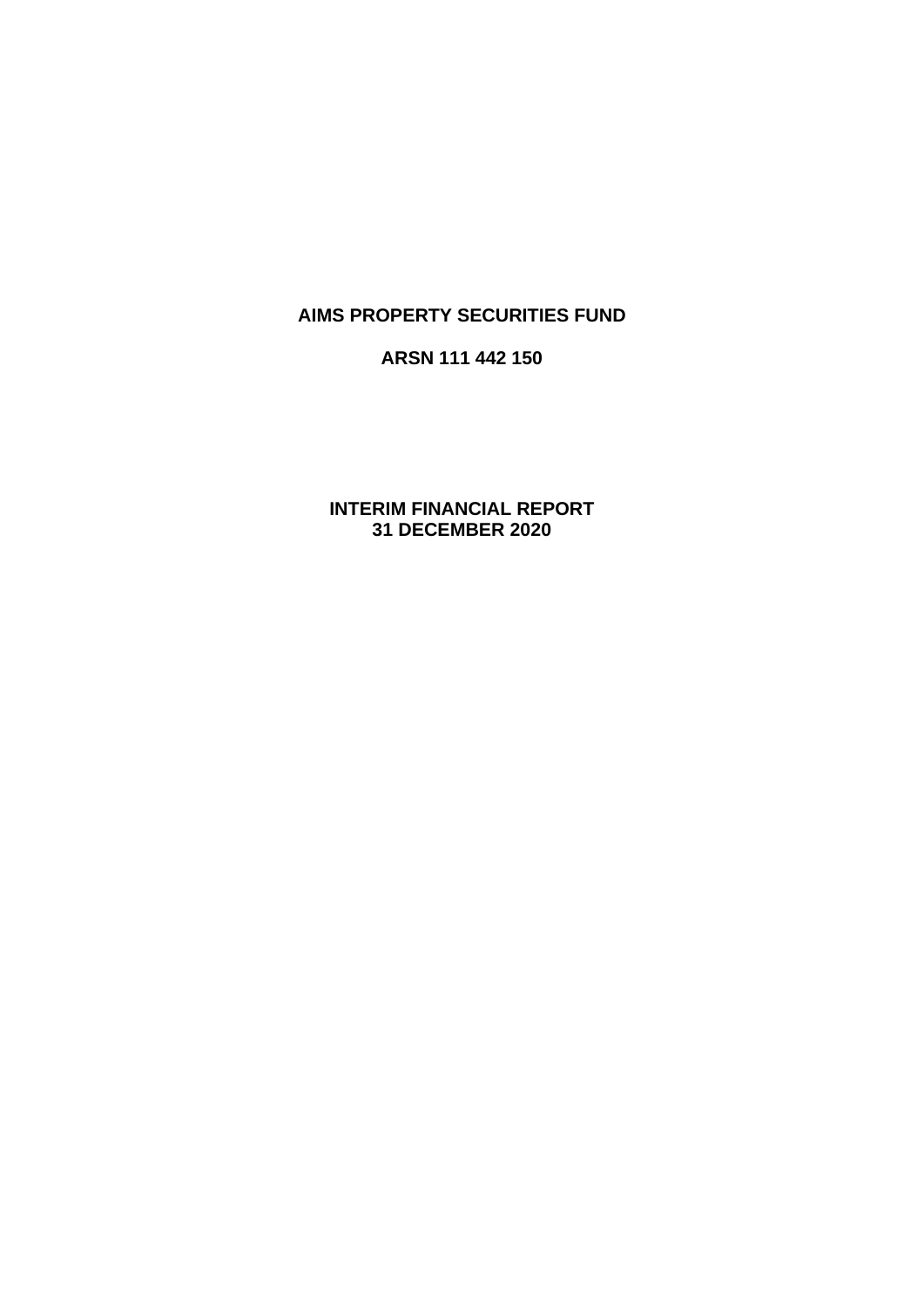## **AIMS PROPERTY SECURITIES FUND**

### **ARSN 111 442 150**

**INTERIM FINANCIAL REPORT 31 DECEMBER 2020**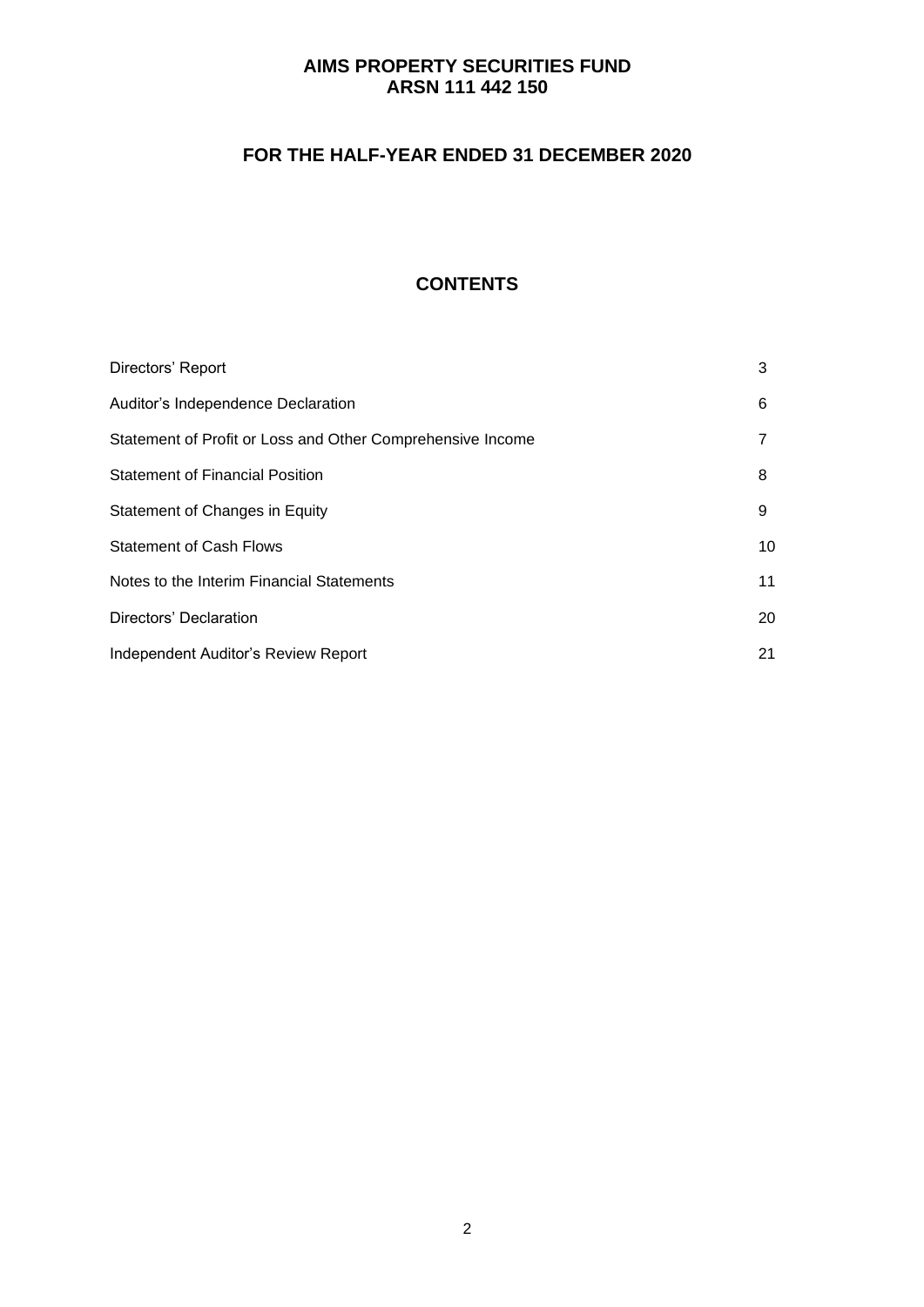# **FOR THE HALF-YEAR ENDED 31 DECEMBER 2020**

# **CONTENTS**

| Directors' Report                                          | 3  |
|------------------------------------------------------------|----|
| Auditor's Independence Declaration                         | 6  |
| Statement of Profit or Loss and Other Comprehensive Income |    |
| <b>Statement of Financial Position</b>                     | 8  |
| Statement of Changes in Equity                             | 9  |
| <b>Statement of Cash Flows</b>                             | 10 |
| Notes to the Interim Financial Statements                  | 11 |
| Directors' Declaration                                     | 20 |
| Independent Auditor's Review Report                        | 21 |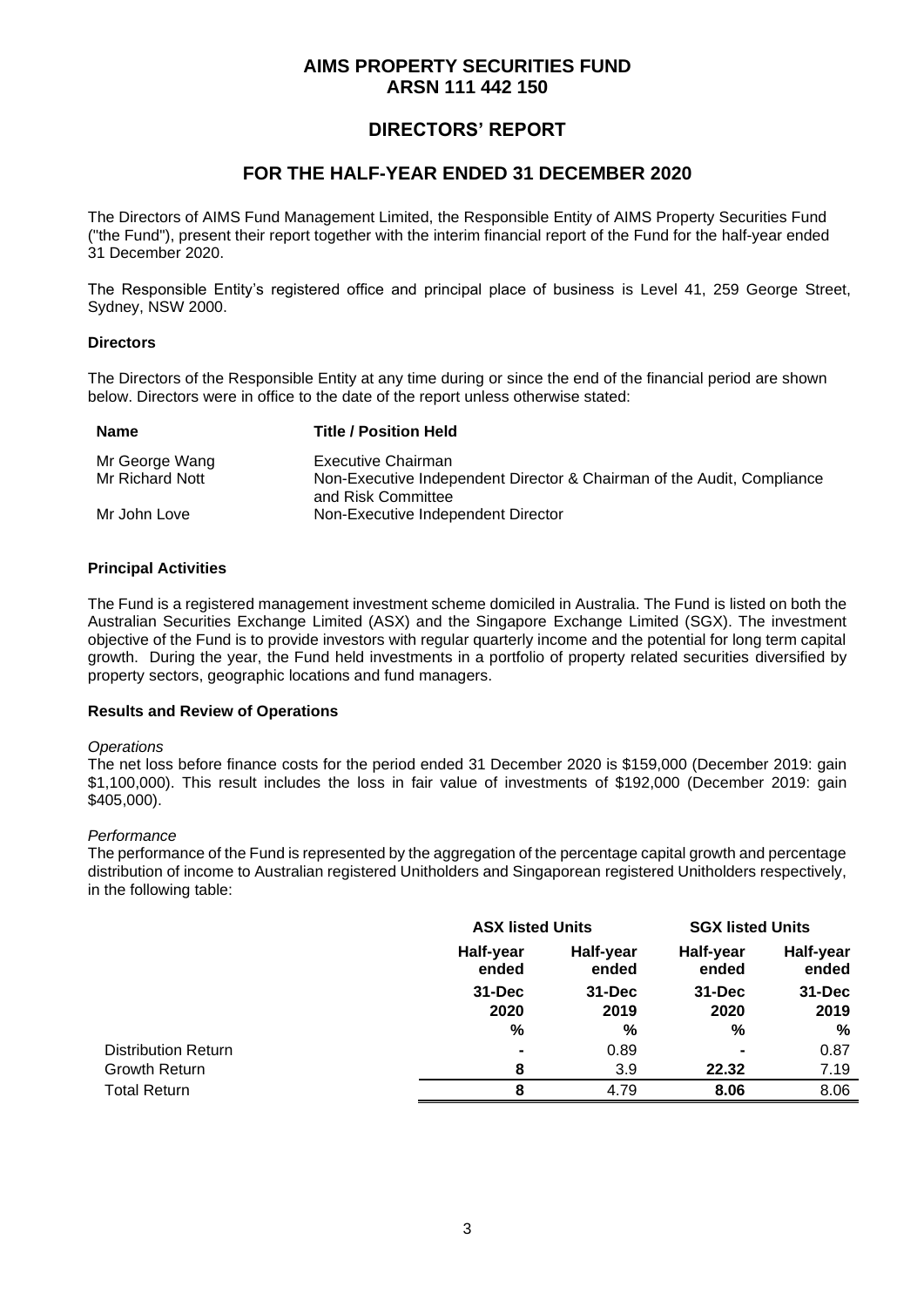## **DIRECTORS' REPORT**

### **FOR THE HALF-YEAR ENDED 31 DECEMBER 2020**

The Directors of AIMS Fund Management Limited, the Responsible Entity of AIMS Property Securities Fund ("the Fund"), present their report together with the interim financial report of the Fund for the half-year ended 31 December 2020.

The Responsible Entity's registered office and principal place of business is Level 41, 259 George Street, Sydney, NSW 2000.

#### **Directors**

The Directors of the Responsible Entity at any time during or since the end of the financial period are shown below. Directors were in office to the date of the report unless otherwise stated:

| <b>Name</b>     | <b>Title / Position Held</b>                                                                 |
|-----------------|----------------------------------------------------------------------------------------------|
| Mr George Wang  | Executive Chairman                                                                           |
| Mr Richard Nott | Non-Executive Independent Director & Chairman of the Audit, Compliance<br>and Risk Committee |
| Mr John Love    | Non-Executive Independent Director                                                           |

#### **Principal Activities**

The Fund is a registered management investment scheme domiciled in Australia. The Fund is listed on both the Australian Securities Exchange Limited (ASX) and the Singapore Exchange Limited (SGX). The investment objective of the Fund is to provide investors with regular quarterly income and the potential for long term capital growth. During the year, the Fund held investments in a portfolio of property related securities diversified by property sectors, geographic locations and fund managers.

#### **Results and Review of Operations**

#### *Operations*

The net loss before finance costs for the period ended 31 December 2020 is \$159,000 (December 2019: gain \$1,100,000). This result includes the loss in fair value of investments of \$192,000 (December 2019: gain \$405,000).

#### *Performance*

The performance of the Fund is represented by the aggregation of the percentage capital growth and percentage distribution of income to Australian registered Unitholders and Singaporean registered Unitholders respectively, in the following table:

|                            |                    | <b>ASX listed Units</b> |                    | <b>SGX listed Units</b> |
|----------------------------|--------------------|-------------------------|--------------------|-------------------------|
|                            | Half-year<br>ended | Half-year<br>ended      | Half-year<br>ended | Half-year<br>ended      |
|                            | $31 - Dec$         | 31-Dec                  | $31 - Dec$         | $31 - Dec$              |
|                            | 2020               | 2019                    | 2020               | 2019                    |
|                            | $\%$               | %                       | %                  | %                       |
| <b>Distribution Return</b> |                    | 0.89                    | ٠                  | 0.87                    |
| <b>Growth Return</b>       | 8                  | 3.9                     | 22.32              | 7.19                    |
| <b>Total Return</b>        | 8                  | 4.79                    | 8.06               | 8.06                    |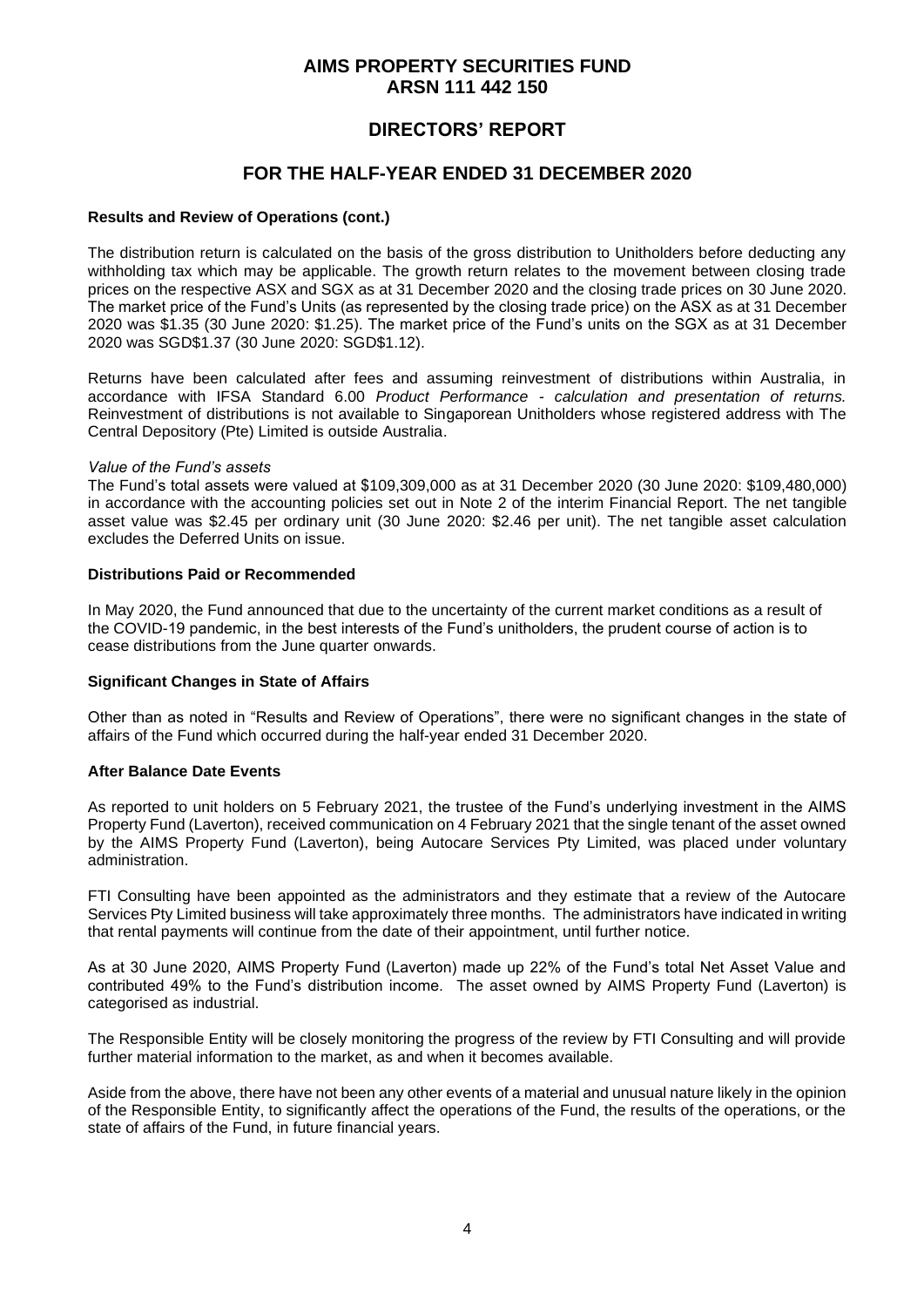## **DIRECTORS' REPORT**

### **FOR THE HALF-YEAR ENDED 31 DECEMBER 2020**

#### **Results and Review of Operations (cont.)**

The distribution return is calculated on the basis of the gross distribution to Unitholders before deducting any withholding tax which may be applicable. The growth return relates to the movement between closing trade prices on the respective ASX and SGX as at 31 December 2020 and the closing trade prices on 30 June 2020. The market price of the Fund's Units (as represented by the closing trade price) on the ASX as at 31 December 2020 was \$1.35 (30 June 2020: \$1.25). The market price of the Fund's units on the SGX as at 31 December 2020 was SGD\$1.37 (30 June 2020: SGD\$1.12).

Returns have been calculated after fees and assuming reinvestment of distributions within Australia, in accordance with IFSA Standard 6.00 *Product Performance - calculation and presentation of returns.*  Reinvestment of distributions is not available to Singaporean Unitholders whose registered address with The Central Depository (Pte) Limited is outside Australia.

#### *Value of the Fund's assets*

The Fund's total assets were valued at \$109,309,000 as at 31 December 2020 (30 June 2020: \$109,480,000) in accordance with the accounting policies set out in Note 2 of the interim Financial Report. The net tangible asset value was \$2.45 per ordinary unit (30 June 2020: \$2.46 per unit). The net tangible asset calculation excludes the Deferred Units on issue.

#### **Distributions Paid or Recommended**

In May 2020, the Fund announced that due to the uncertainty of the current market conditions as a result of the COVID-19 pandemic, in the best interests of the Fund's unitholders, the prudent course of action is to cease distributions from the June quarter onwards.

#### **Significant Changes in State of Affairs**

Other than as noted in "Results and Review of Operations", there were no significant changes in the state of affairs of the Fund which occurred during the half-year ended 31 December 2020.

#### **After Balance Date Events**

As reported to unit holders on 5 February 2021, the trustee of the Fund's underlying investment in the AIMS Property Fund (Laverton), received communication on 4 February 2021 that the single tenant of the asset owned by the AIMS Property Fund (Laverton), being Autocare Services Pty Limited, was placed under voluntary administration.

FTI Consulting have been appointed as the administrators and they estimate that a review of the Autocare Services Pty Limited business will take approximately three months. The administrators have indicated in writing that rental payments will continue from the date of their appointment, until further notice.

As at 30 June 2020, AIMS Property Fund (Laverton) made up 22% of the Fund's total Net Asset Value and contributed 49% to the Fund's distribution income. The asset owned by AIMS Property Fund (Laverton) is categorised as industrial.

The Responsible Entity will be closely monitoring the progress of the review by FTI Consulting and will provide further material information to the market, as and when it becomes available.

Aside from the above, there have not been any other events of a material and unusual nature likely in the opinion of the Responsible Entity, to significantly affect the operations of the Fund, the results of the operations, or the state of affairs of the Fund, in future financial years.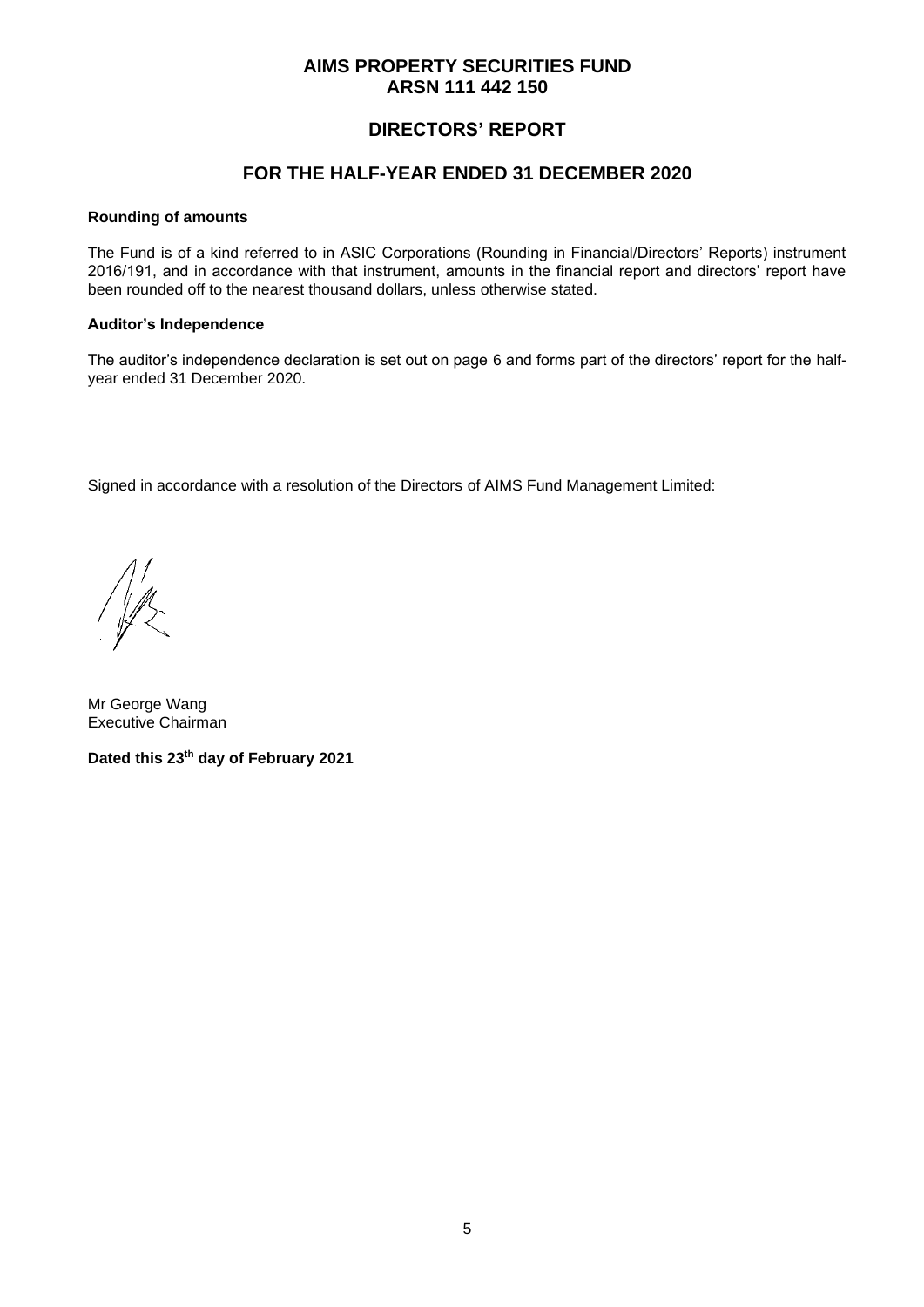## **DIRECTORS' REPORT**

### **FOR THE HALF-YEAR ENDED 31 DECEMBER 2020**

#### **Rounding of amounts**

The Fund is of a kind referred to in ASIC Corporations (Rounding in Financial/Directors' Reports) instrument 2016/191, and in accordance with that instrument, amounts in the financial report and directors' report have been rounded off to the nearest thousand dollars, unless otherwise stated.

#### **Auditor's Independence**

The auditor's independence declaration is set out on page 6 and forms part of the directors' report for the halfyear ended 31 December 2020.

Signed in accordance with a resolution of the Directors of AIMS Fund Management Limited:

Mr George Wang Executive Chairman

**Dated this 23 th day of February 2021**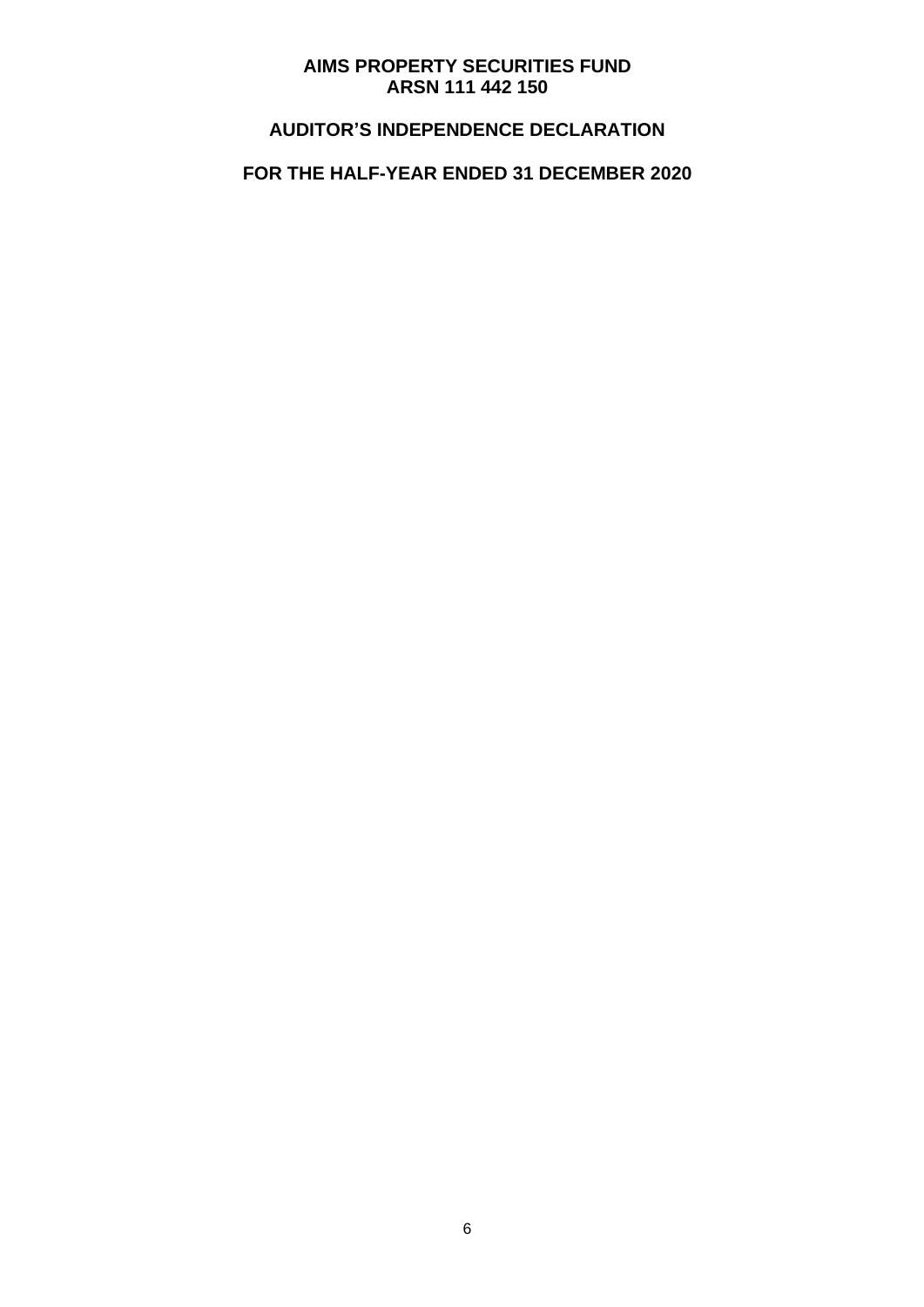# **AUDITOR'S INDEPENDENCE DECLARATION**

# **FOR THE HALF-YEAR ENDED 31 DECEMBER 2020**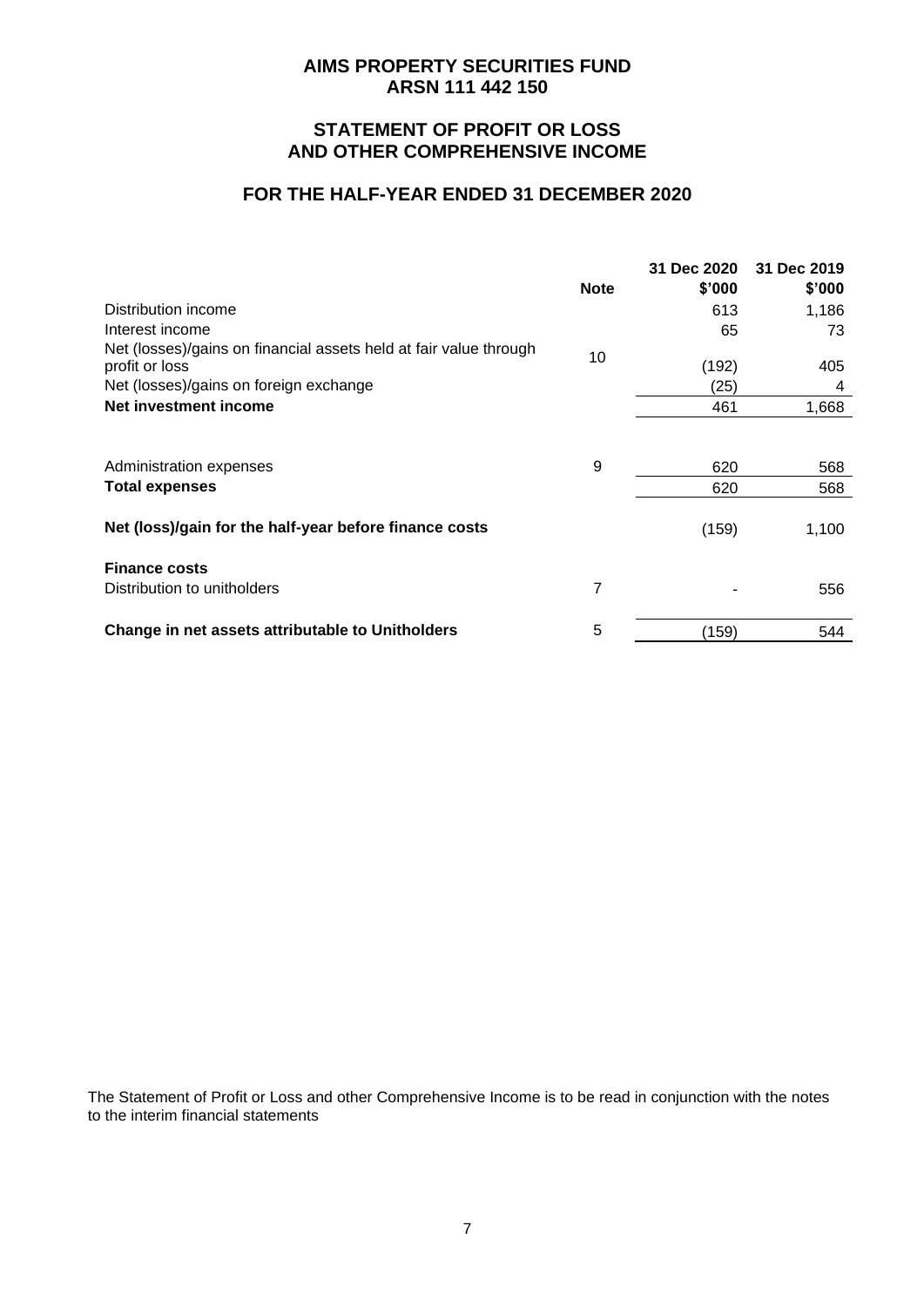### **STATEMENT OF PROFIT OR LOSS AND OTHER COMPREHENSIVE INCOME**

#### **FOR THE HALF-YEAR ENDED 31 DECEMBER 2020**

|                                                                   |             | 31 Dec 2020 | 31 Dec 2019 |
|-------------------------------------------------------------------|-------------|-------------|-------------|
|                                                                   | <b>Note</b> | \$'000      | \$'000      |
| Distribution income                                               |             | 613         | 1,186       |
| Interest income                                                   |             | 65          | 73          |
| Net (losses)/gains on financial assets held at fair value through | 10          |             |             |
| profit or loss                                                    |             | (192)       | 405         |
| Net (losses)/gains on foreign exchange                            |             | (25)        | 4           |
| Net investment income                                             |             | 461         | 1,668       |
|                                                                   |             |             |             |
| Administration expenses                                           | 9           | 620         | 568         |
| <b>Total expenses</b>                                             |             | 620         | 568         |
|                                                                   |             |             |             |
| Net (loss)/gain for the half-year before finance costs            |             | (159)       | 1,100       |
| <b>Finance costs</b>                                              |             |             |             |
| Distribution to unitholders                                       | 7           |             | 556         |
| Change in net assets attributable to Unitholders                  | 5           | (159)       | 544         |
|                                                                   |             |             |             |

The Statement of Profit or Loss and other Comprehensive Income is to be read in conjunction with the notes to the interim financial statements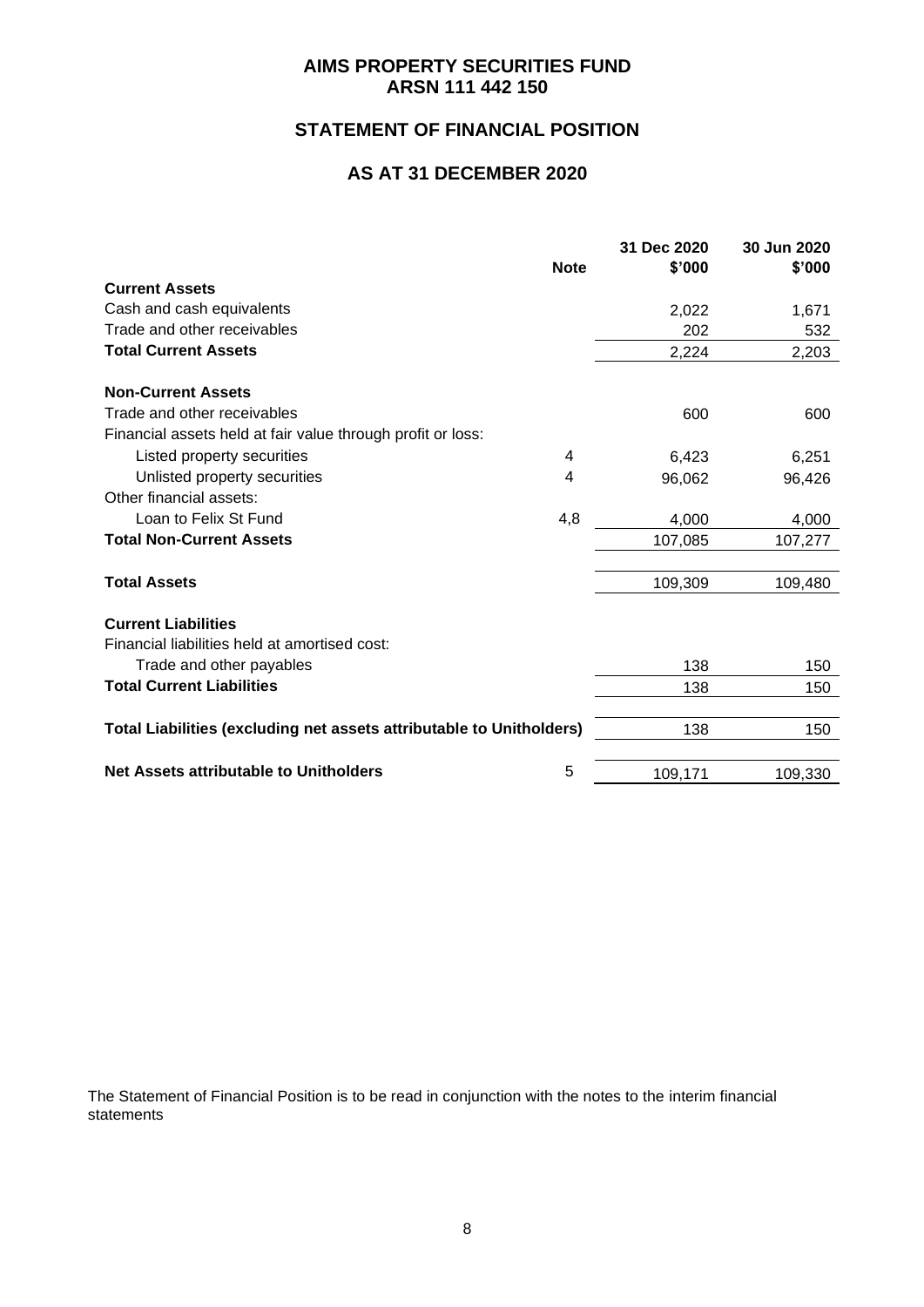# **STATEMENT OF FINANCIAL POSITION**

## **AS AT 31 DECEMBER 2020**

|                                                                      |             | 31 Dec 2020 | 30 Jun 2020 |
|----------------------------------------------------------------------|-------------|-------------|-------------|
| <b>Current Assets</b>                                                | <b>Note</b> | \$'000      | \$'000      |
|                                                                      |             |             |             |
| Cash and cash equivalents                                            |             | 2,022       | 1,671       |
| Trade and other receivables                                          |             | 202         | 532         |
| <b>Total Current Assets</b>                                          |             | 2,224       | 2,203       |
| <b>Non-Current Assets</b>                                            |             |             |             |
| Trade and other receivables                                          |             | 600         | 600         |
| Financial assets held at fair value through profit or loss:          |             |             |             |
| Listed property securities                                           | 4           | 6,423       | 6,251       |
| Unlisted property securities                                         | 4           | 96,062      | 96,426      |
| Other financial assets:                                              |             |             |             |
| Loan to Felix St Fund                                                | 4,8         | 4,000       | 4,000       |
| <b>Total Non-Current Assets</b>                                      |             | 107,085     | 107,277     |
|                                                                      |             |             |             |
| <b>Total Assets</b>                                                  |             | 109,309     | 109,480     |
| <b>Current Liabilities</b>                                           |             |             |             |
| Financial liabilities held at amortised cost:                        |             |             |             |
| Trade and other payables                                             |             | 138         | 150         |
| <b>Total Current Liabilities</b>                                     |             | 138         | 150         |
|                                                                      |             |             |             |
| Total Liabilities (excluding net assets attributable to Unitholders) |             | 138         | 150         |
|                                                                      |             |             |             |
| Net Assets attributable to Unitholders                               | 5           | 109,171     | 109,330     |

The Statement of Financial Position is to be read in conjunction with the notes to the interim financial statements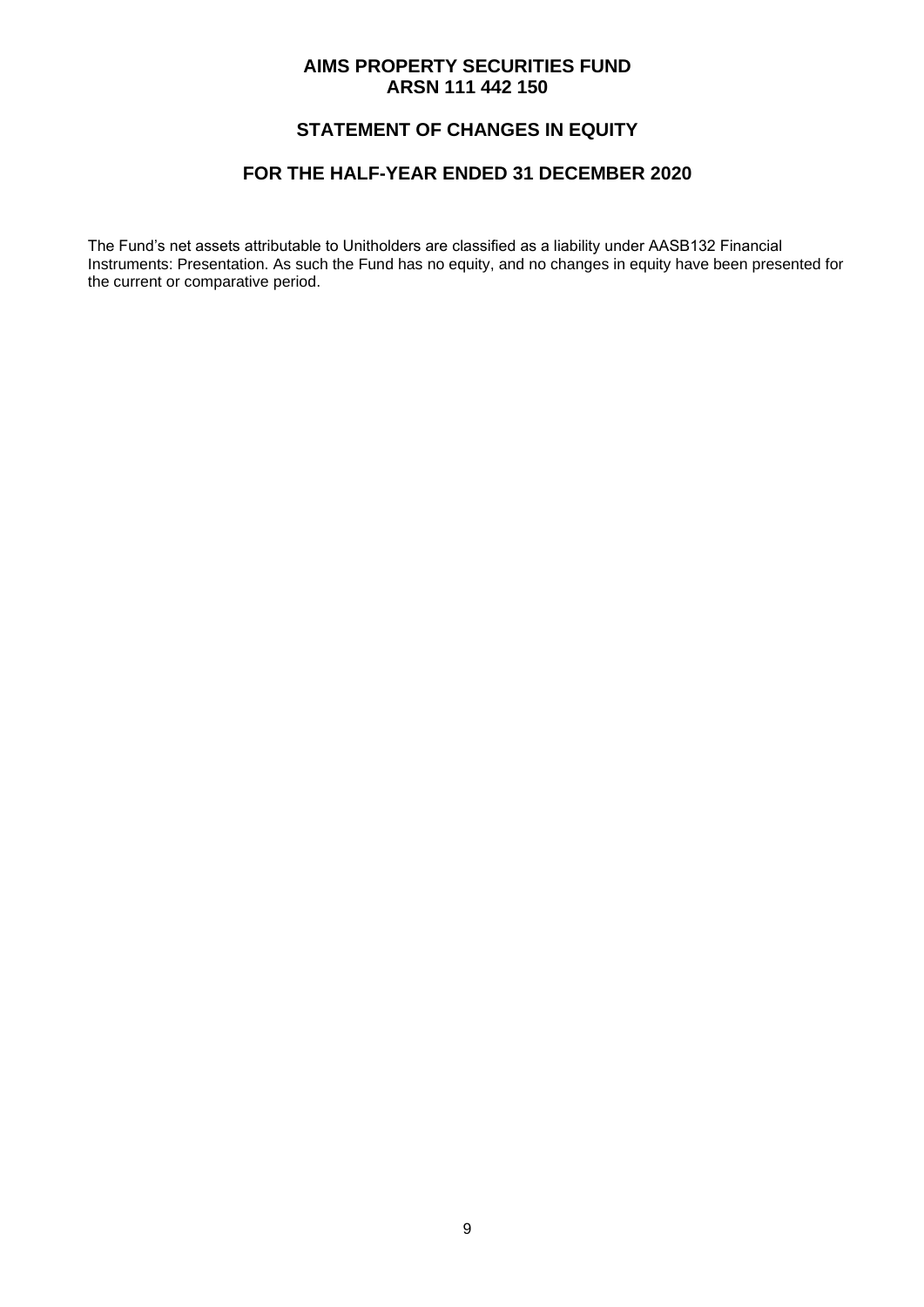# **STATEMENT OF CHANGES IN EQUITY**

### **FOR THE HALF-YEAR ENDED 31 DECEMBER 2020**

The Fund's net assets attributable to Unitholders are classified as a liability under AASB132 Financial Instruments: Presentation. As such the Fund has no equity, and no changes in equity have been presented for the current or comparative period.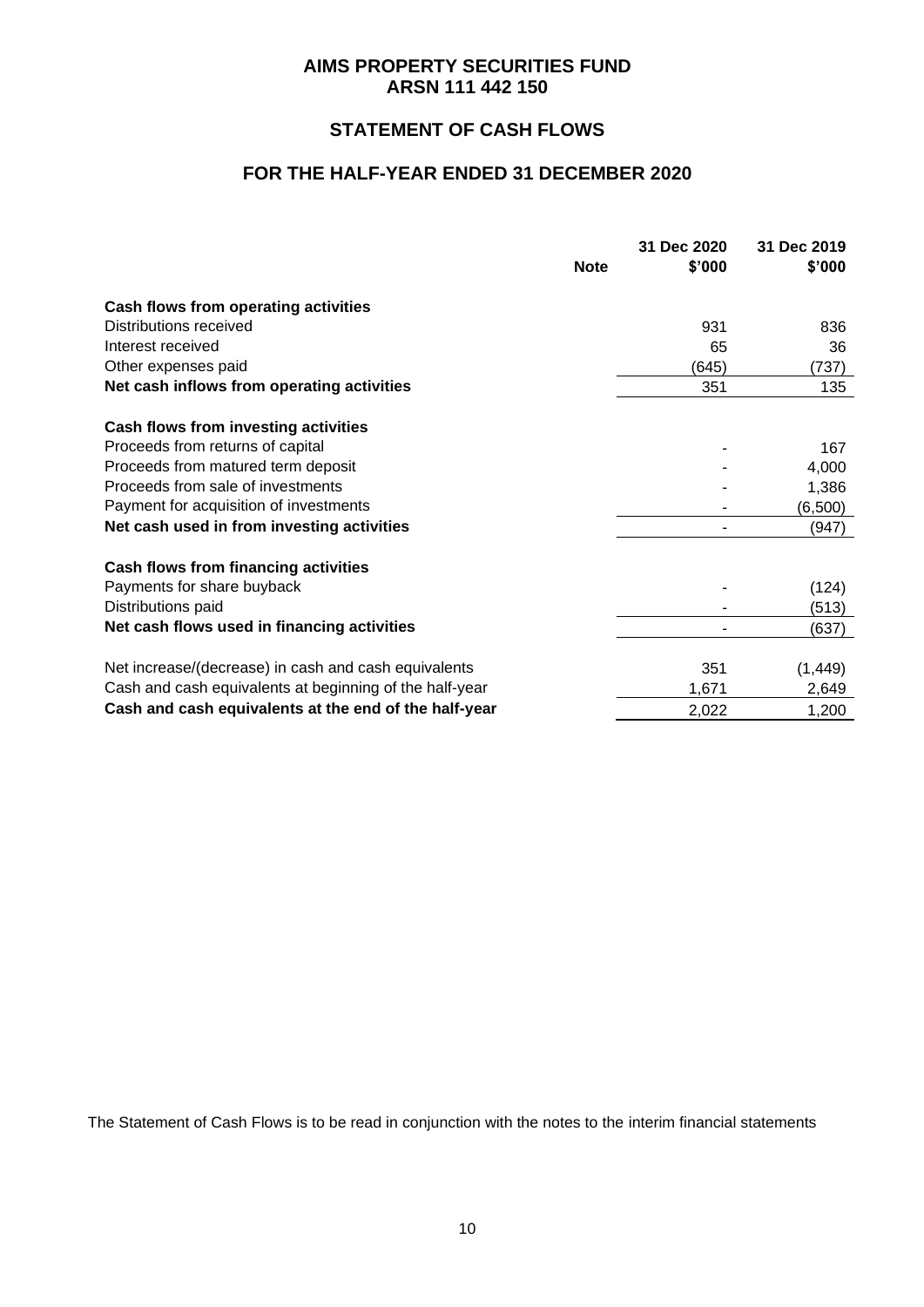# **STATEMENT OF CASH FLOWS**

### **FOR THE HALF-YEAR ENDED 31 DECEMBER 2020**

|                                                         | 31 Dec 2020 | 31 Dec 2019 |
|---------------------------------------------------------|-------------|-------------|
| <b>Note</b>                                             | \$'000      | \$'000      |
| Cash flows from operating activities                    |             |             |
| Distributions received                                  | 931         | 836         |
| Interest received                                       | 65          | 36          |
| Other expenses paid                                     | (645)       | (737)       |
| Net cash inflows from operating activities              | 351         | 135         |
| <b>Cash flows from investing activities</b>             |             |             |
| Proceeds from returns of capital                        |             | 167         |
| Proceeds from matured term deposit                      |             | 4,000       |
| Proceeds from sale of investments                       |             | 1,386       |
| Payment for acquisition of investments                  |             | (6,500)     |
| Net cash used in from investing activities              |             | (947)       |
| <b>Cash flows from financing activities</b>             |             |             |
| Payments for share buyback                              |             | (124)       |
| Distributions paid                                      |             | (513)       |
| Net cash flows used in financing activities             |             | (637)       |
| Net increase/(decrease) in cash and cash equivalents    | 351         | (1, 449)    |
| Cash and cash equivalents at beginning of the half-year | 1,671       | 2,649       |
| Cash and cash equivalents at the end of the half-year   | 2,022       | 1,200       |

The Statement of Cash Flows is to be read in conjunction with the notes to the interim financial statements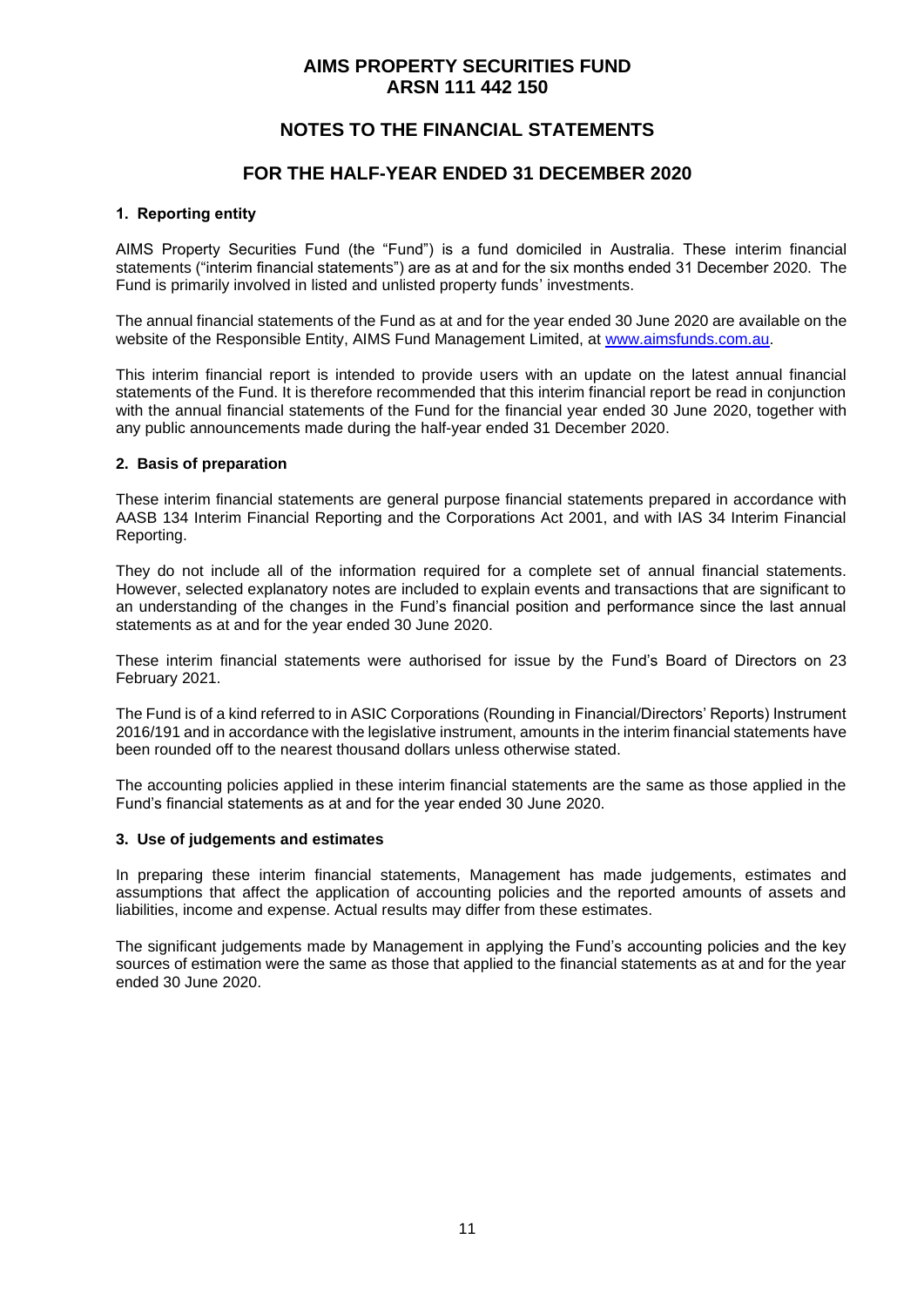## **NOTES TO THE FINANCIAL STATEMENTS**

### **FOR THE HALF-YEAR ENDED 31 DECEMBER 2020**

#### **1. Reporting entity**

AIMS Property Securities Fund (the "Fund") is a fund domiciled in Australia. These interim financial statements ("interim financial statements") are as at and for the six months ended 31 December 2020. The Fund is primarily involved in listed and unlisted property funds' investments.

The annual financial statements of the Fund as at and for the year ended 30 June 2020 are available on the website of the Responsible Entity, AIMS Fund Management Limited, at [www.aimsfunds.com.au.](http://www.aimsfunds.com.au/)

This interim financial report is intended to provide users with an update on the latest annual financial statements of the Fund. It is therefore recommended that this interim financial report be read in conjunction with the annual financial statements of the Fund for the financial year ended 30 June 2020, together with any public announcements made during the half-year ended 31 December 2020.

#### **2. Basis of preparation**

These interim financial statements are general purpose financial statements prepared in accordance with AASB 134 Interim Financial Reporting and the Corporations Act 2001, and with IAS 34 Interim Financial Reporting.

They do not include all of the information required for a complete set of annual financial statements. However, selected explanatory notes are included to explain events and transactions that are significant to an understanding of the changes in the Fund's financial position and performance since the last annual statements as at and for the year ended 30 June 2020.

These interim financial statements were authorised for issue by the Fund's Board of Directors on 23 February 2021.

The Fund is of a kind referred to in ASIC Corporations (Rounding in Financial/Directors' Reports) Instrument 2016/191 and in accordance with the legislative instrument, amounts in the interim financial statements have been rounded off to the nearest thousand dollars unless otherwise stated.

The accounting policies applied in these interim financial statements are the same as those applied in the Fund's financial statements as at and for the year ended 30 June 2020.

#### **3. Use of judgements and estimates**

In preparing these interim financial statements, Management has made judgements, estimates and assumptions that affect the application of accounting policies and the reported amounts of assets and liabilities, income and expense. Actual results may differ from these estimates.

The significant judgements made by Management in applying the Fund's accounting policies and the key sources of estimation were the same as those that applied to the financial statements as at and for the year ended 30 June 2020.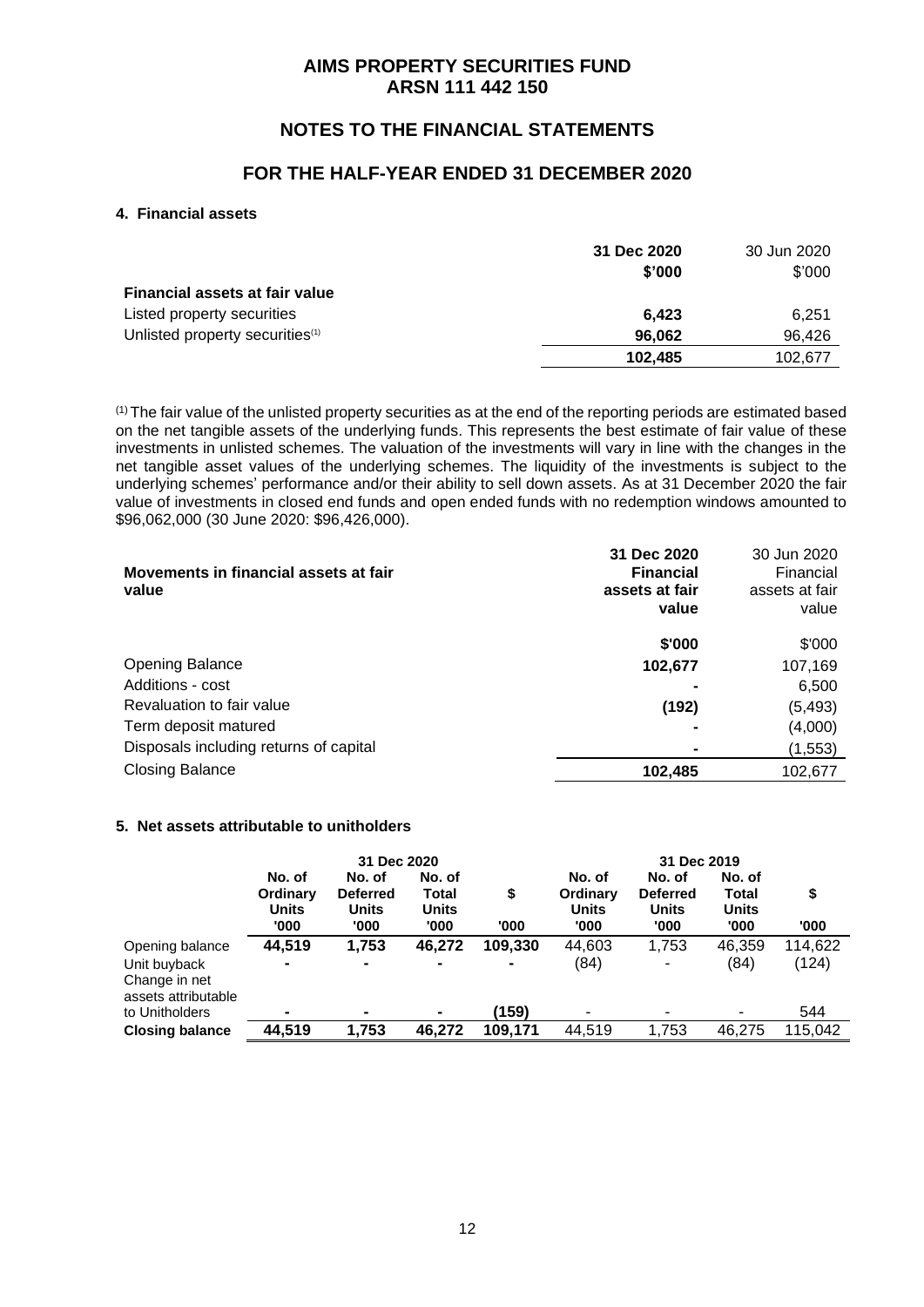# **NOTES TO THE FINANCIAL STATEMENTS**

### **FOR THE HALF-YEAR ENDED 31 DECEMBER 2020**

#### **4. Financial assets**

|                                             | 31 Dec 2020 | 30 Jun 2020 |
|---------------------------------------------|-------------|-------------|
|                                             | \$'000      | \$'000      |
| <b>Financial assets at fair value</b>       |             |             |
| Listed property securities                  | 6.423       | 6,251       |
| Unlisted property securities <sup>(1)</sup> | 96.062      | 96,426      |
|                                             | 102.485     | 102.677     |

(1) The fair value of the unlisted property securities as at the end of the reporting periods are estimated based on the net tangible assets of the underlying funds. This represents the best estimate of fair value of these investments in unlisted schemes. The valuation of the investments will vary in line with the changes in the net tangible asset values of the underlying schemes. The liquidity of the investments is subject to the underlying schemes' performance and/or their ability to sell down assets. As at 31 December 2020 the fair value of investments in closed end funds and open ended funds with no redemption windows amounted to \$96,062,000 (30 June 2020: \$96,426,000).

| Movements in financial assets at fair<br>value | 31 Dec 2020<br><b>Financial</b><br>assets at fair<br>value | 30 Jun 2020<br>Financial<br>assets at fair<br>value |
|------------------------------------------------|------------------------------------------------------------|-----------------------------------------------------|
|                                                | \$'000                                                     | \$'000                                              |
| <b>Opening Balance</b>                         | 102,677                                                    | 107,169                                             |
| Additions - cost                               |                                                            | 6,500                                               |
| Revaluation to fair value                      | (192)                                                      | (5, 493)                                            |
| Term deposit matured                           |                                                            | (4,000)                                             |
| Disposals including returns of capital         |                                                            | (1, 553)                                            |
| <b>Closing Balance</b>                         | 102,485                                                    | 102,677                                             |

#### **5. Net assets attributable to unitholders**

|                                                      | 31 Dec 2020                                |                                                   |                                         |            | 31 Dec 2019                                |                                            |                                                |            |
|------------------------------------------------------|--------------------------------------------|---------------------------------------------------|-----------------------------------------|------------|--------------------------------------------|--------------------------------------------|------------------------------------------------|------------|
|                                                      | No. of<br>Ordinary<br><b>Units</b><br>'000 | No. of<br><b>Deferred</b><br><b>Units</b><br>'000 | No. of<br>Total<br><b>Units</b><br>'000 | \$<br>'000 | No. of<br>Ordinary<br><b>Units</b><br>'000 | No. of<br><b>Deferred</b><br>Units<br>'000 | No. of<br><b>Total</b><br><b>Units</b><br>'000 | \$<br>'000 |
| Opening balance                                      | 44,519                                     | 1,753                                             | 46,272                                  | 109,330    | 44,603                                     | 1,753                                      | 46,359                                         | 114,622    |
| Unit buyback<br>Change in net<br>assets attributable |                                            | $\blacksquare$                                    | $\blacksquare$                          |            | (84)                                       | -                                          | (84)                                           | (124)      |
| to Unitholders                                       |                                            |                                                   | $\blacksquare$                          | (159)      |                                            |                                            | ۰                                              | 544        |
| <b>Closing balance</b>                               | 44,519                                     | 1,753                                             | 46,272                                  | 109,171    | 44,519                                     | 1,753                                      | 46,275                                         | 115,042    |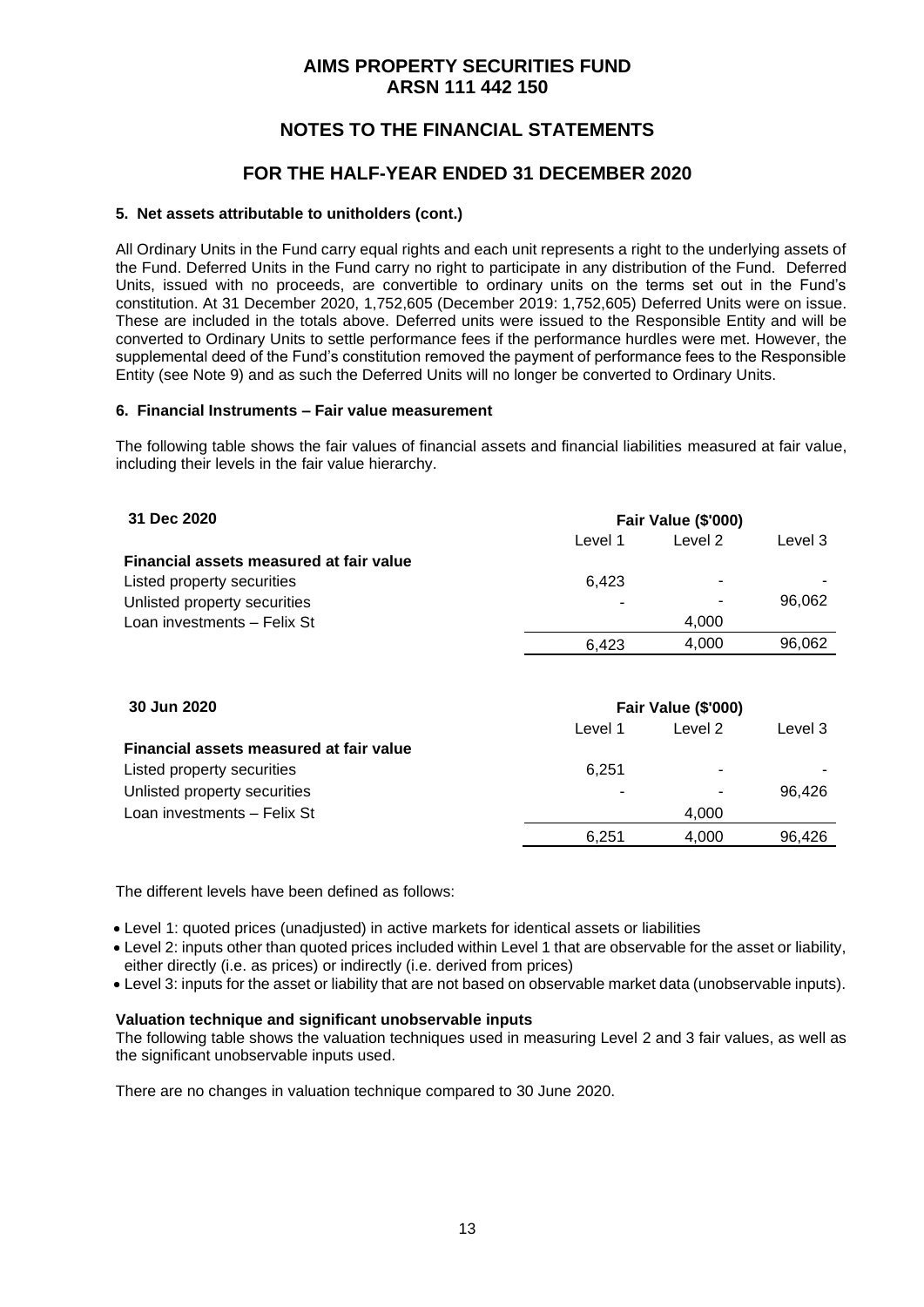# **NOTES TO THE FINANCIAL STATEMENTS**

## **FOR THE HALF-YEAR ENDED 31 DECEMBER 2020**

#### **5. Net assets attributable to unitholders (cont.)**

All Ordinary Units in the Fund carry equal rights and each unit represents a right to the underlying assets of the Fund. Deferred Units in the Fund carry no right to participate in any distribution of the Fund. Deferred Units, issued with no proceeds, are convertible to ordinary units on the terms set out in the Fund's constitution. At 31 December 2020, 1,752,605 (December 2019: 1,752,605) Deferred Units were on issue. These are included in the totals above. Deferred units were issued to the Responsible Entity and will be converted to Ordinary Units to settle performance fees if the performance hurdles were met. However, the supplemental deed of the Fund's constitution removed the payment of performance fees to the Responsible Entity (see Note 9) and as such the Deferred Units will no longer be converted to Ordinary Units.

#### **6. Financial Instruments – Fair value measurement**

The following table shows the fair values of financial assets and financial liabilities measured at fair value, including their levels in the fair value hierarchy.

| 31 Dec 2020                             | Fair Value (\$'000) |                          |         |
|-----------------------------------------|---------------------|--------------------------|---------|
|                                         | Level 1             | Level 2                  | Level 3 |
| Financial assets measured at fair value |                     |                          |         |
| Listed property securities              | 6.423               | $\overline{\phantom{a}}$ |         |
| Unlisted property securities            | ٠                   |                          | 96.062  |
| Loan investments - Felix St             |                     | 4.000                    |         |
|                                         | 6.423               | 4.000                    | 96.062  |

| 30 Jun 2020                             | Fair Value (\$'000)      |         |         |  |
|-----------------------------------------|--------------------------|---------|---------|--|
|                                         | Level 1                  | Level 2 | Level 3 |  |
| Financial assets measured at fair value |                          |         |         |  |
| Listed property securities              | 6.251                    | ۰       |         |  |
| Unlisted property securities            | $\overline{\phantom{a}}$ | ٠       | 96.426  |  |
| Loan investments - Felix St             |                          | 4.000   |         |  |
|                                         | 6.251                    | 4.000   | 96.426  |  |

The different levels have been defined as follows:

• Level 1: quoted prices (unadjusted) in active markets for identical assets or liabilities

- Level 2: inputs other than quoted prices included within Level 1 that are observable for the asset or liability, either directly (i.e. as prices) or indirectly (i.e. derived from prices)
- Level 3: inputs for the asset or liability that are not based on observable market data (unobservable inputs).

#### **Valuation technique and significant unobservable inputs**

The following table shows the valuation techniques used in measuring Level 2 and 3 fair values, as well as the significant unobservable inputs used.

There are no changes in valuation technique compared to 30 June 2020.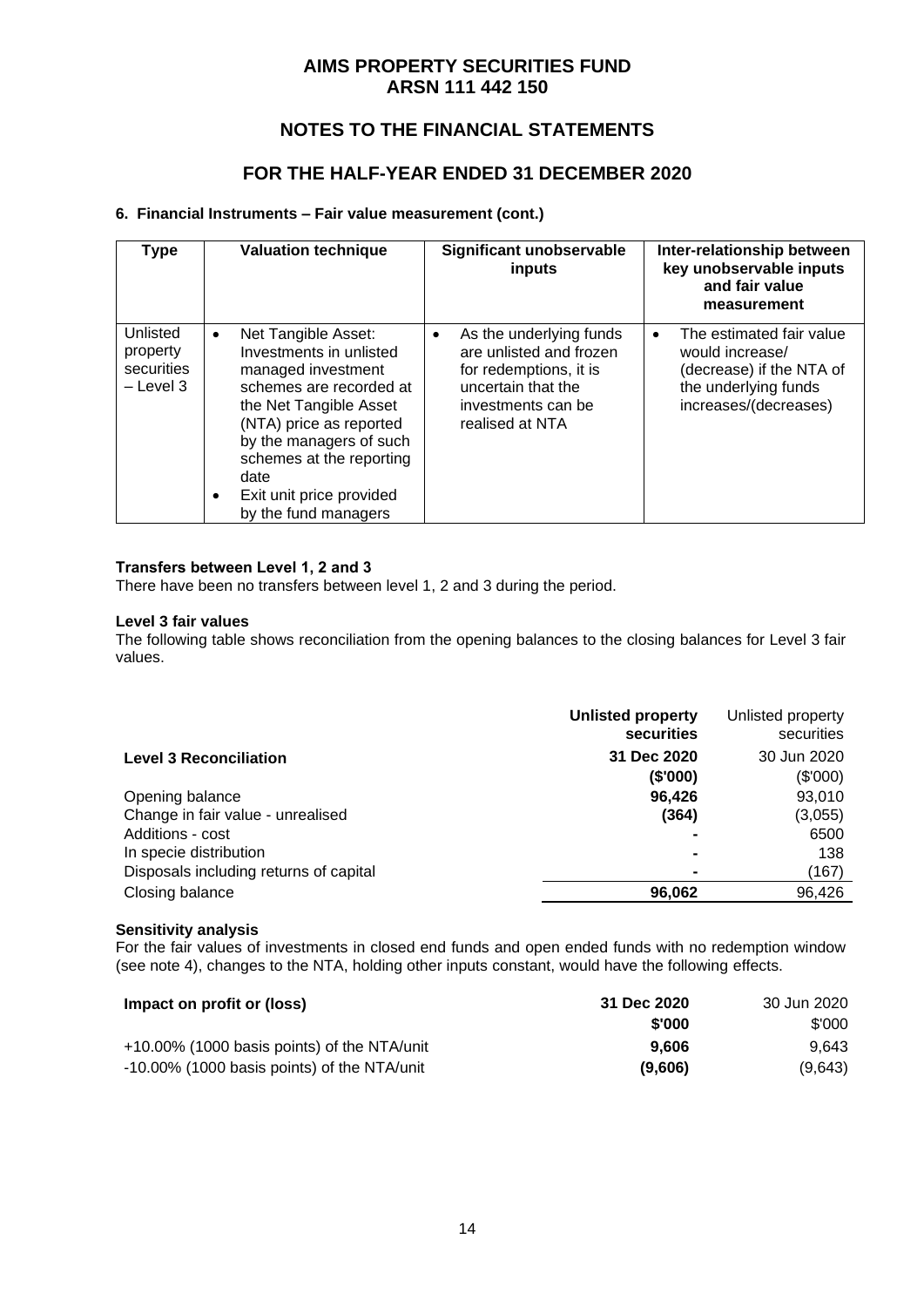# **NOTES TO THE FINANCIAL STATEMENTS**

## **FOR THE HALF-YEAR ENDED 31 DECEMBER 2020**

#### **6. Financial Instruments – Fair value measurement (cont.)**

| <b>Type</b>                                       |                | <b>Valuation technique</b>                                                                                                                                                                                                                                              |           | <b>Significant unobservable</b><br>inputs                                                                                                   |           | Inter-relationship between<br>key unobservable inputs<br>and fair value<br>measurement                                   |
|---------------------------------------------------|----------------|-------------------------------------------------------------------------------------------------------------------------------------------------------------------------------------------------------------------------------------------------------------------------|-----------|---------------------------------------------------------------------------------------------------------------------------------------------|-----------|--------------------------------------------------------------------------------------------------------------------------|
| Unlisted<br>property<br>securities<br>$-$ Level 3 | $\bullet$<br>٠ | Net Tangible Asset:<br>Investments in unlisted<br>managed investment<br>schemes are recorded at<br>the Net Tangible Asset<br>(NTA) price as reported<br>by the managers of such<br>schemes at the reporting<br>date<br>Exit unit price provided<br>by the fund managers | $\bullet$ | As the underlying funds<br>are unlisted and frozen<br>for redemptions, it is<br>uncertain that the<br>investments can be<br>realised at NTA | $\bullet$ | The estimated fair value<br>would increase/<br>(decrease) if the NTA of<br>the underlying funds<br>increases/(decreases) |

#### **Transfers between Level 1, 2 and 3**

There have been no transfers between level 1, 2 and 3 during the period.

#### **Level 3 fair values**

The following table shows reconciliation from the opening balances to the closing balances for Level 3 fair values.

|                                        | <b>Unlisted property</b><br>securities | Unlisted property<br>securities |
|----------------------------------------|----------------------------------------|---------------------------------|
| <b>Level 3 Reconciliation</b>          | 31 Dec 2020                            | 30 Jun 2020                     |
|                                        | (\$'000)                               | (\$'000)                        |
| Opening balance                        | 96,426                                 | 93,010                          |
| Change in fair value - unrealised      | (364)                                  | (3,055)                         |
| Additions - cost                       |                                        | 6500                            |
| In specie distribution                 | $\blacksquare$                         | 138                             |
| Disposals including returns of capital | -                                      | (167)                           |
| Closing balance                        | 96,062                                 | 96,426                          |
|                                        |                                        |                                 |

#### **Sensitivity analysis**

For the fair values of investments in closed end funds and open ended funds with no redemption window (see note 4), changes to the NTA, holding other inputs constant, would have the following effects.

| Impact on profit or (loss)                  | 31 Dec 2020 | 30 Jun 2020 |
|---------------------------------------------|-------------|-------------|
|                                             | \$'000      | \$'000      |
| +10.00% (1000 basis points) of the NTA/unit | 9.606       | 9.643       |
| -10.00% (1000 basis points) of the NTA/unit | (9,606)     | (9,643)     |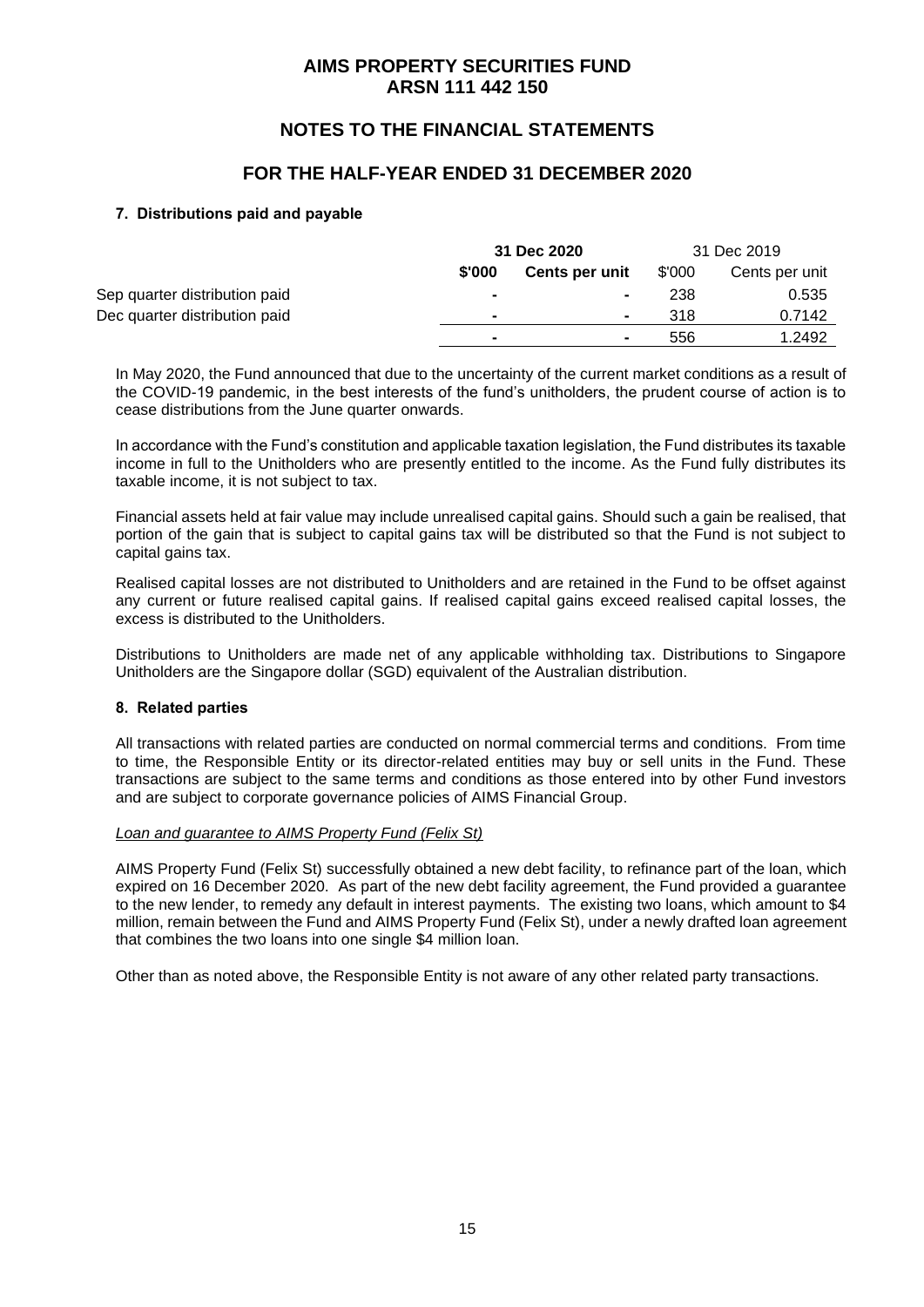## **NOTES TO THE FINANCIAL STATEMENTS**

### **FOR THE HALF-YEAR ENDED 31 DECEMBER 2020**

#### **7. Distributions paid and payable**

|                               |                | 31 Dec 2020    |        | 31 Dec 2019    |  |
|-------------------------------|----------------|----------------|--------|----------------|--|
|                               | \$'000         | Cents per unit | \$'000 | Cents per unit |  |
| Sep quarter distribution paid | $\blacksquare$ | $\blacksquare$ | 238    | 0.535          |  |
| Dec quarter distribution paid | $\blacksquare$ | $\blacksquare$ | 318    | 0.7142         |  |
|                               | $\blacksquare$ | $\blacksquare$ | 556    | 1.2492         |  |

In May 2020, the Fund announced that due to the uncertainty of the current market conditions as a result of the COVID-19 pandemic, in the best interests of the fund's unitholders, the prudent course of action is to cease distributions from the June quarter onwards.

In accordance with the Fund's constitution and applicable taxation legislation, the Fund distributes its taxable income in full to the Unitholders who are presently entitled to the income. As the Fund fully distributes its taxable income, it is not subject to tax.

Financial assets held at fair value may include unrealised capital gains. Should such a gain be realised, that portion of the gain that is subject to capital gains tax will be distributed so that the Fund is not subject to capital gains tax.

Realised capital losses are not distributed to Unitholders and are retained in the Fund to be offset against any current or future realised capital gains. If realised capital gains exceed realised capital losses, the excess is distributed to the Unitholders.

Distributions to Unitholders are made net of any applicable withholding tax. Distributions to Singapore Unitholders are the Singapore dollar (SGD) equivalent of the Australian distribution.

#### **8. Related parties**

All transactions with related parties are conducted on normal commercial terms and conditions. From time to time, the Responsible Entity or its director-related entities may buy or sell units in the Fund. These transactions are subject to the same terms and conditions as those entered into by other Fund investors and are subject to corporate governance policies of AIMS Financial Group.

#### *Loan and guarantee to AIMS Property Fund (Felix St)*

AIMS Property Fund (Felix St) successfully obtained a new debt facility, to refinance part of the loan, which expired on 16 December 2020. As part of the new debt facility agreement, the Fund provided a guarantee to the new lender, to remedy any default in interest payments. The existing two loans, which amount to \$4 million, remain between the Fund and AIMS Property Fund (Felix St), under a newly drafted loan agreement that combines the two loans into one single \$4 million loan.

Other than as noted above, the Responsible Entity is not aware of any other related party transactions.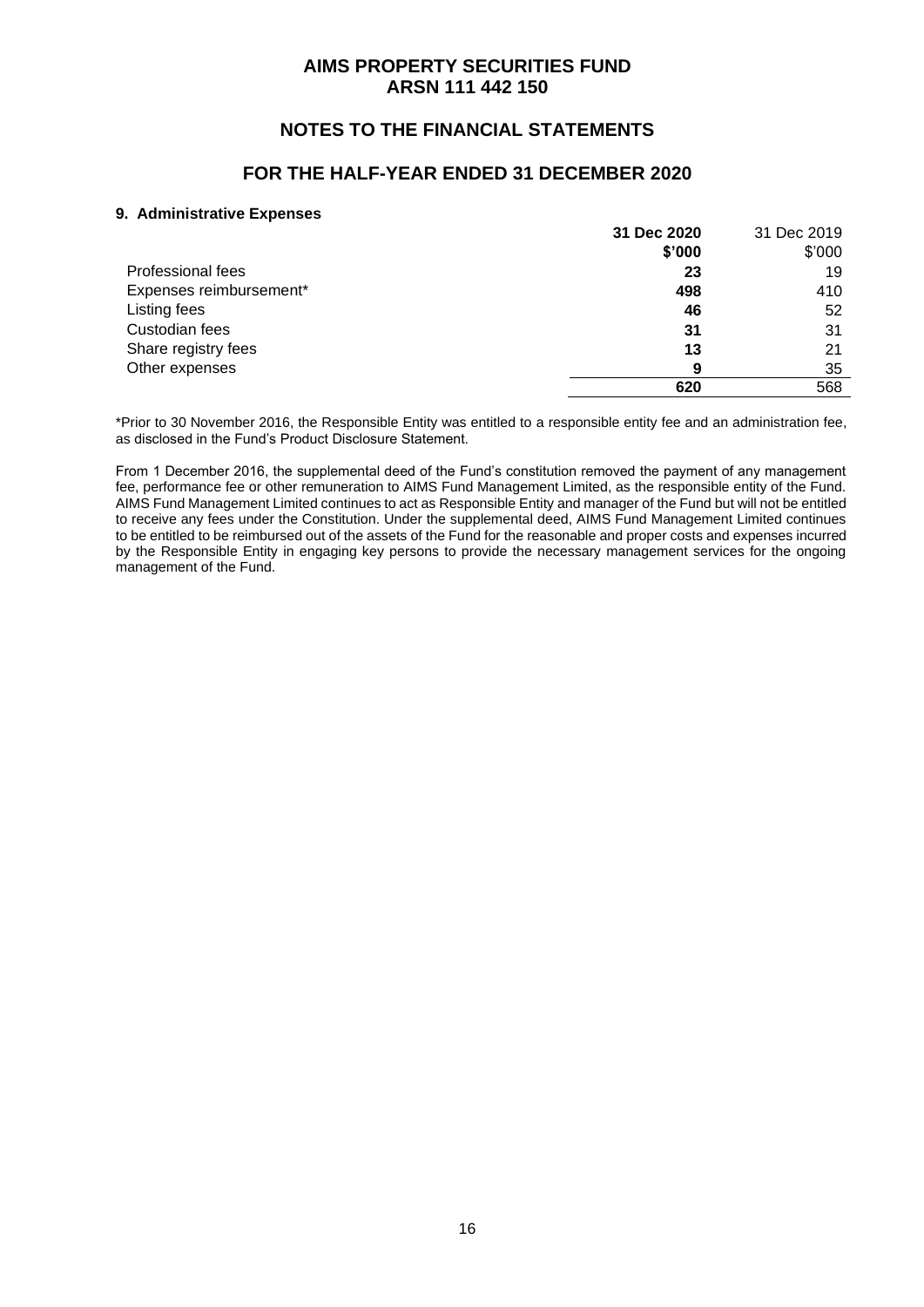## **NOTES TO THE FINANCIAL STATEMENTS**

### **FOR THE HALF-YEAR ENDED 31 DECEMBER 2020**

#### **9. Administrative Expenses**

|                         | 31 Dec 2020 | 31 Dec 2019 |
|-------------------------|-------------|-------------|
|                         | \$'000      | \$'000      |
| Professional fees       | 23          | 19          |
| Expenses reimbursement* | 498         | 410         |
| Listing fees            | 46          | 52          |
| Custodian fees          | 31          | 31          |
| Share registry fees     | 13          | 21          |
| Other expenses          | 9           | 35          |
|                         | 620         | 568         |

\*Prior to 30 November 2016, the Responsible Entity was entitled to a responsible entity fee and an administration fee, as disclosed in the Fund's Product Disclosure Statement.

From 1 December 2016, the supplemental deed of the Fund's constitution removed the payment of any management fee, performance fee or other remuneration to AIMS Fund Management Limited, as the responsible entity of the Fund. AIMS Fund Management Limited continues to act as Responsible Entity and manager of the Fund but will not be entitled to receive any fees under the Constitution. Under the supplemental deed, AIMS Fund Management Limited continues to be entitled to be reimbursed out of the assets of the Fund for the reasonable and proper costs and expenses incurred by the Responsible Entity in engaging key persons to provide the necessary management services for the ongoing management of the Fund.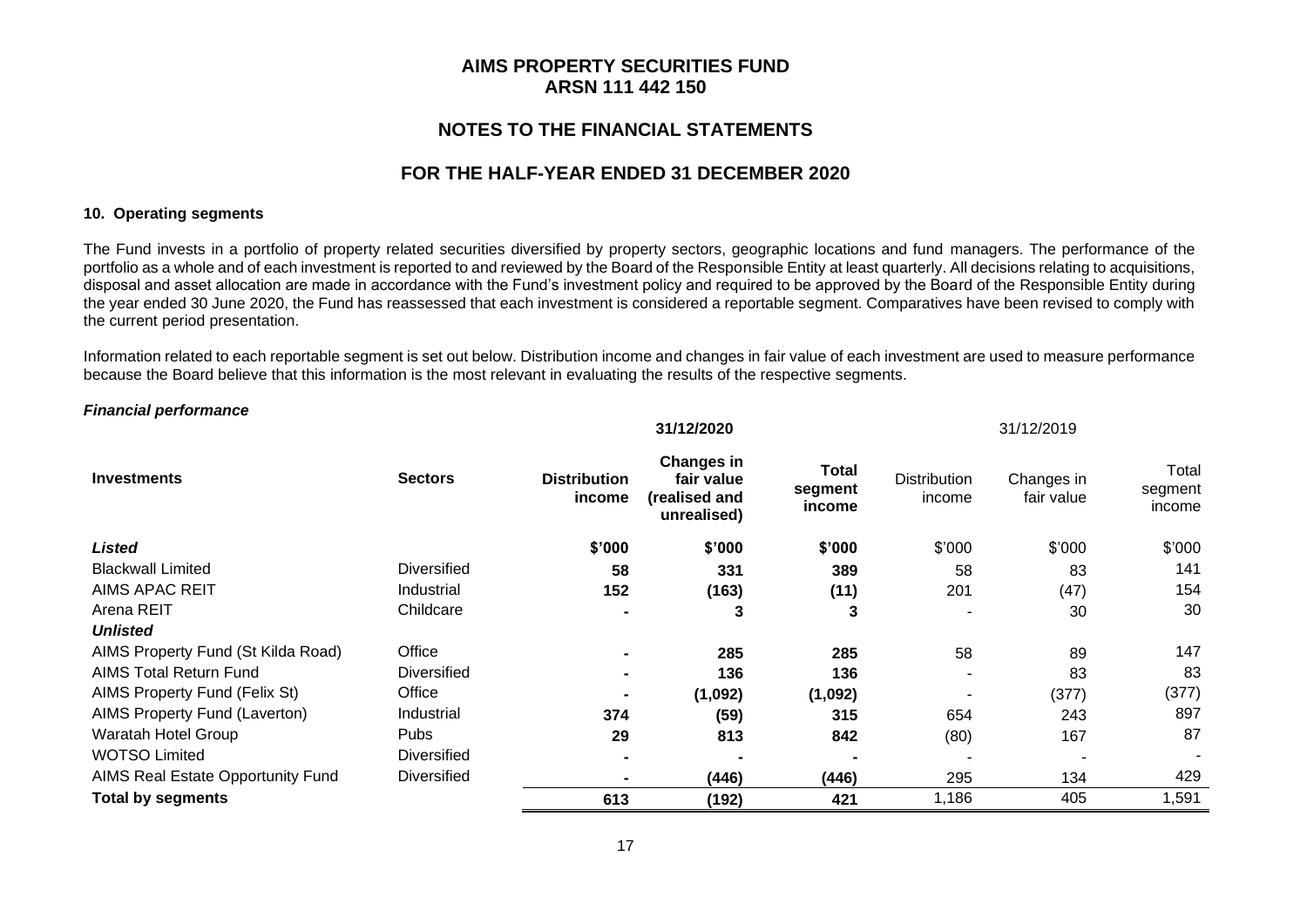### **NOTES TO THE FINANCIAL STATEMENTS**

#### **FOR THE HALF-YEAR ENDED 31 DECEMBER 2020**

#### **10. Operating segments**

The Fund invests in a portfolio of property related securities diversified by property sectors, geographic locations and fund managers. The performance of the portfolio as a whole and of each investment is reported to and reviewed by the Board of the Responsible Entity at least quarterly. All decisions relating to acquisitions, disposal and asset allocation are made in accordance with the Fund's investment policy and required to be approved by the Board of the Responsible Entity during the year ended 30 June 2020, the Fund has reassessed that each investment is considered a reportable segment. Comparatives have been revised to comply with the current period presentation.

Information related to each reportable segment is set out below. Distribution income and changes in fair value of each investment are used to measure performance because the Board believe that this information is the most relevant in evaluating the results of the respective segments.

**31/12/2020** 31/12/2019

#### *Financial performance*

|                                    |                    | <b>0.7.425040</b>             |                                                                 |                                   | 0 1 1 <b>4 4 5 1 7 1 7 1 7 4 7 4 7 7 7 7 7 7 7</b> |                          |                            |
|------------------------------------|--------------------|-------------------------------|-----------------------------------------------------------------|-----------------------------------|----------------------------------------------------|--------------------------|----------------------------|
| <b>Investments</b>                 | <b>Sectors</b>     | <b>Distribution</b><br>income | <b>Changes in</b><br>fair value<br>(realised and<br>unrealised) | <b>Total</b><br>segment<br>income | <b>Distribution</b><br>income                      | Changes in<br>fair value | Total<br>segment<br>income |
| <b>Listed</b>                      |                    | \$'000                        | \$'000                                                          | \$'000                            | \$'000                                             | \$'000                   | \$'000                     |
| <b>Blackwall Limited</b>           | <b>Diversified</b> | 58                            | 331                                                             | 389                               | 58                                                 | 83                       | 141                        |
| <b>AIMS APAC REIT</b>              | Industrial         | 152                           | (163)                                                           | (11)                              | 201                                                | (47)                     | 154                        |
| Arena REIT                         | Childcare          |                               | 3                                                               | 3                                 |                                                    | 30                       | 30                         |
| <b>Unlisted</b>                    |                    |                               |                                                                 |                                   |                                                    |                          |                            |
| AIMS Property Fund (St Kilda Road) | Office             |                               | 285                                                             | 285                               | 58                                                 | 89                       | 147                        |
| <b>AIMS Total Return Fund</b>      | <b>Diversified</b> |                               | 136                                                             | 136                               |                                                    | 83                       | 83                         |
| AIMS Property Fund (Felix St)      | Office             |                               | (1,092)                                                         | (1,092)                           |                                                    | (377)                    | (377)                      |
| AIMS Property Fund (Laverton)      | Industrial         | 374                           | (59)                                                            | 315                               | 654                                                | 243                      | 897                        |
| Waratah Hotel Group                | <b>Pubs</b>        | 29                            | 813                                                             | 842                               | (80)                                               | 167                      | 87                         |
| <b>WOTSO Limited</b>               | <b>Diversified</b> |                               |                                                                 |                                   |                                                    |                          |                            |
| AIMS Real Estate Opportunity Fund  | <b>Diversified</b> |                               | (446)                                                           | (446)                             | 295                                                | 134                      | 429                        |
| <b>Total by segments</b>           |                    | 613                           | (192)                                                           | 421                               | 1,186                                              | 405                      | 1,591                      |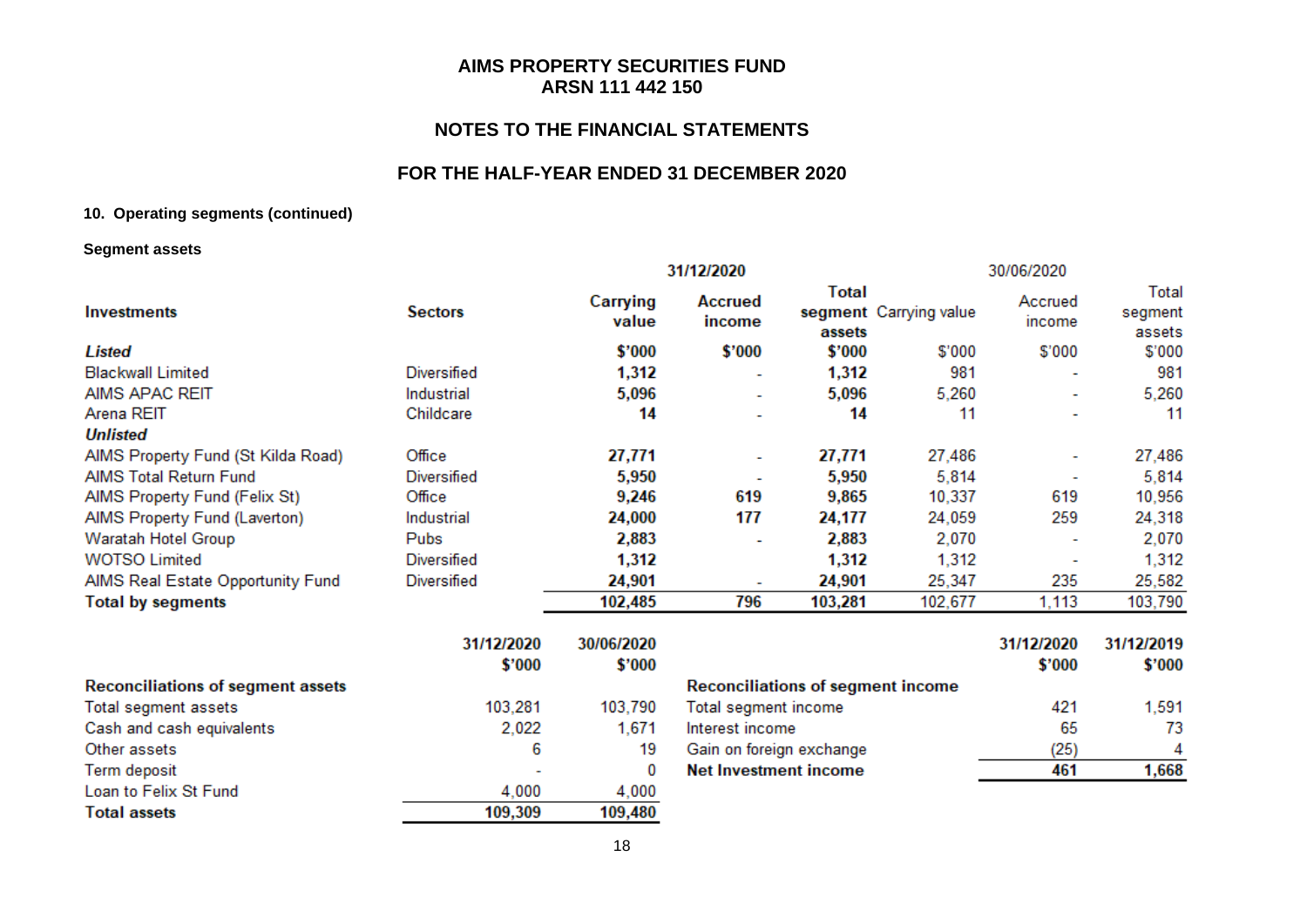## **NOTES TO THE FINANCIAL STATEMENTS**

#### **FOR THE HALF-YEAR ENDED 31 DECEMBER 2020**

#### **10. Operating segments (continued)**

#### **Segment assets**

|                                    |                    |                   | 31/12/2020               |                 |                        | 30/06/2020               |                            |
|------------------------------------|--------------------|-------------------|--------------------------|-----------------|------------------------|--------------------------|----------------------------|
| <b>Investments</b>                 | <b>Sectors</b>     | Carrying<br>value | Accrued<br>income        | Total<br>assets | segment Carrying value | Accrued<br>income        | Total<br>segment<br>assets |
| <b>Listed</b>                      |                    | \$'000            | \$'000                   | \$'000          | \$'000                 | \$'000                   | \$'000                     |
| <b>Blackwall Limited</b>           | Diversified        | 1,312             |                          | 1,312           | 981                    | ۰                        | 981                        |
| AIMS APAC REIT                     | Industrial         | 5,096             | ٠                        | 5,096           | 5,260                  | ٠                        | 5,260                      |
| Arena REIT                         | Childcare          | 14                |                          | 14              | 11                     | $\overline{\phantom{a}}$ | 11                         |
| <b>Unlisted</b>                    |                    |                   |                          |                 |                        |                          |                            |
| AIMS Property Fund (St Kilda Road) | Office             | 27,771            |                          | 27,771          | 27,486                 | ٠                        | 27,486                     |
| AIMS Total Return Fund             | <b>Diversified</b> | 5,950             |                          | 5,950           | 5,814                  |                          | 5,814                      |
| AIMS Property Fund (Felix St)      | Office             | 9,246             | 619                      | 9,865           | 10,337                 | 619                      | 10,956                     |
| AIMS Property Fund (Laverton)      | Industrial         | 24,000            | 177                      | 24,177          | 24,059                 | 259                      | 24,318                     |
| Waratah Hotel Group                | Pubs               | 2,883             |                          | 2,883           | 2,070                  | ٠                        | 2,070                      |
| <b>WOTSO Limited</b>               | Diversified        | 1,312             |                          | 1,312           | 1,312                  | $\overline{\phantom{a}}$ | 1,312                      |
| AIMS Real Estate Opportunity Fund  | Diversified        | 24,901            | $\overline{\phantom{a}}$ | 24,901          | 25,347                 | 235                      | 25,582                     |
| <b>Total by segments</b>           |                    | 102,485           | 796                      | 103,281         | 102,677                | 1,113                    | 103,790                    |
|                                    |                    |                   |                          |                 |                        |                          |                            |

|                                          | 31/12/2020 | 30/06/2020 |
|------------------------------------------|------------|------------|
|                                          | \$'000     | \$'000     |
| <b>Reconciliations of segment assets</b> |            |            |
| Total segment assets                     | 103,281    | 103,790    |
| Cash and cash equivalents                | 2,022      | 1,671      |
| Other assets                             | 6          | 19         |
| Term deposit                             |            |            |
| Loan to Felix St Fund                    | 4,000      | 4,000      |
| <b>Total assets</b>                      | 109,309    | 109,480    |

|                                          | 31/12/2020 | 31/12/2019 |
|------------------------------------------|------------|------------|
|                                          | \$'000     | \$'000     |
| <b>Reconciliations of segment income</b> |            |            |
| Total segment income                     | 421        | 1,591      |
| Interest income                          | 65         | 73         |
| Gain on foreign exchange                 | (25)       |            |
| Net Investment income                    | 461        |            |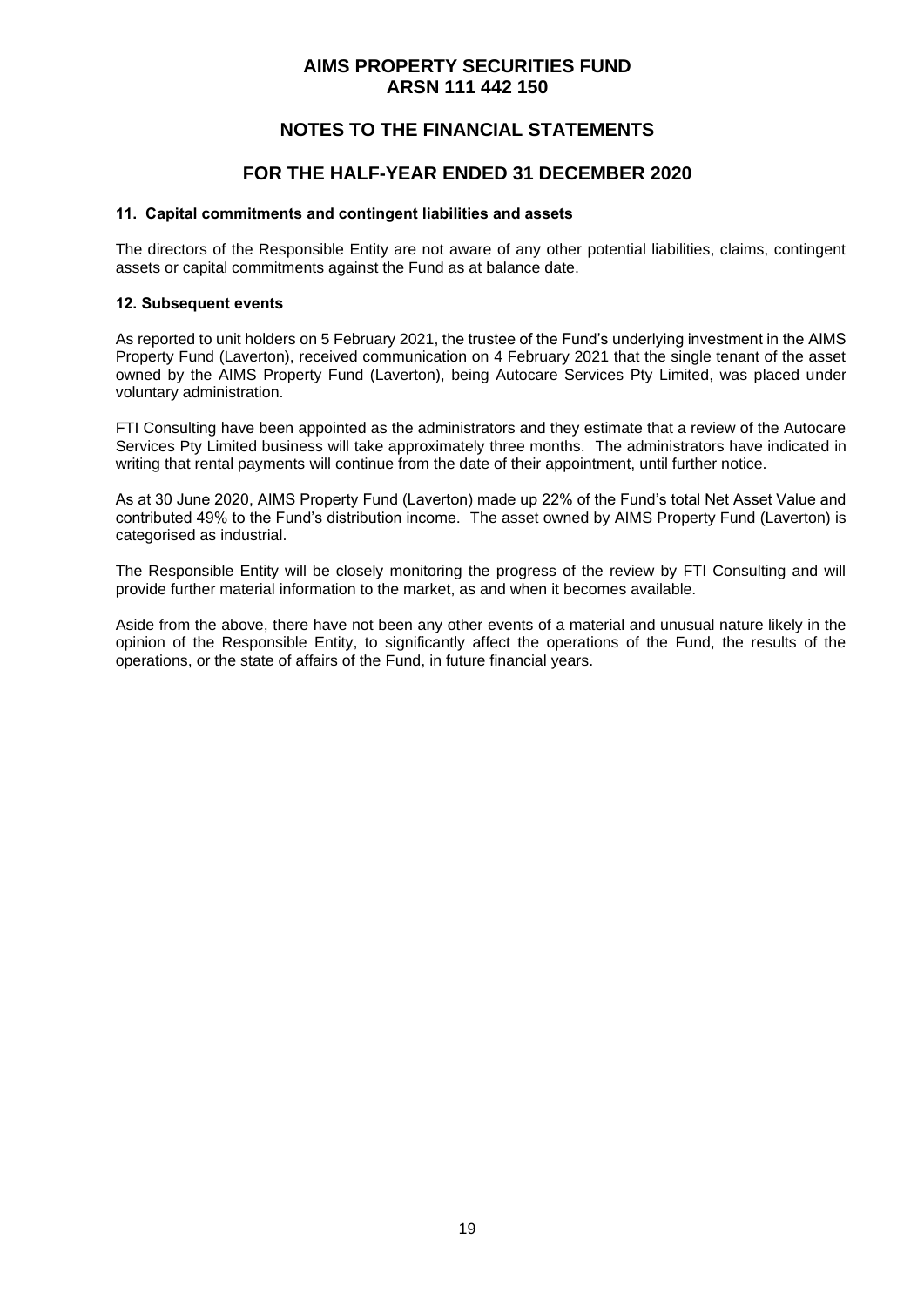## **NOTES TO THE FINANCIAL STATEMENTS**

### **FOR THE HALF-YEAR ENDED 31 DECEMBER 2020**

#### **11. Capital commitments and contingent liabilities and assets**

The directors of the Responsible Entity are not aware of any other potential liabilities, claims, contingent assets or capital commitments against the Fund as at balance date.

#### **12. Subsequent events**

As reported to unit holders on 5 February 2021, the trustee of the Fund's underlying investment in the AIMS Property Fund (Laverton), received communication on 4 February 2021 that the single tenant of the asset owned by the AIMS Property Fund (Laverton), being Autocare Services Pty Limited, was placed under voluntary administration.

FTI Consulting have been appointed as the administrators and they estimate that a review of the Autocare Services Pty Limited business will take approximately three months. The administrators have indicated in writing that rental payments will continue from the date of their appointment, until further notice.

As at 30 June 2020, AIMS Property Fund (Laverton) made up 22% of the Fund's total Net Asset Value and contributed 49% to the Fund's distribution income. The asset owned by AIMS Property Fund (Laverton) is categorised as industrial.

The Responsible Entity will be closely monitoring the progress of the review by FTI Consulting and will provide further material information to the market, as and when it becomes available.

Aside from the above, there have not been any other events of a material and unusual nature likely in the opinion of the Responsible Entity, to significantly affect the operations of the Fund, the results of the operations, or the state of affairs of the Fund, in future financial years.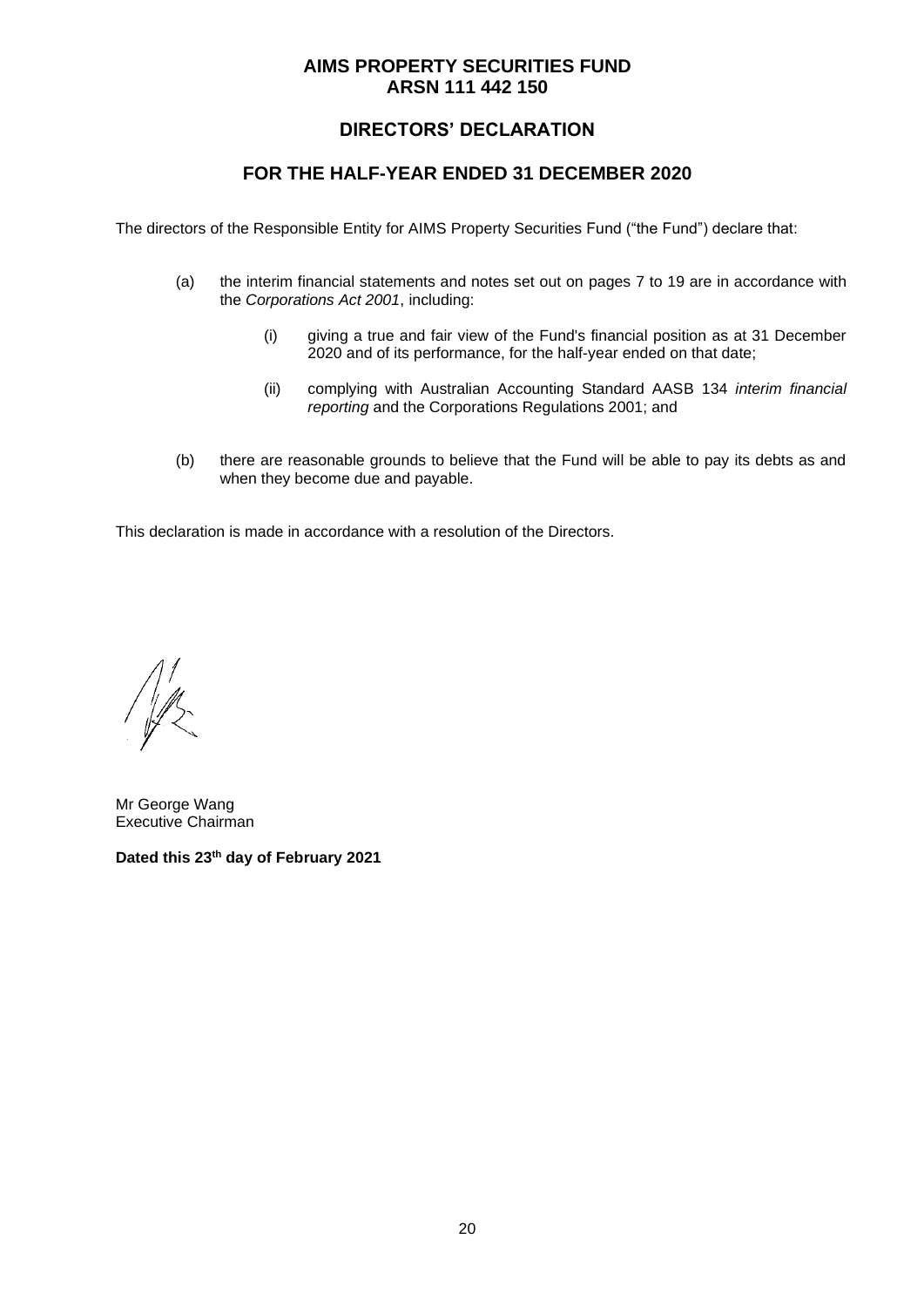## **DIRECTORS' DECLARATION**

### **FOR THE HALF-YEAR ENDED 31 DECEMBER 2020**

The directors of the Responsible Entity for AIMS Property Securities Fund ("the Fund") declare that:

- (a) the interim financial statements and notes set out on pages 7 to 19 are in accordance with the *Corporations Act 2001*, including:
	- (i) giving a true and fair view of the Fund's financial position as at 31 December 2020 and of its performance, for the half-year ended on that date;
	- (ii) complying with Australian Accounting Standard AASB 134 *interim financial reporting* and the Corporations Regulations 2001; and
- (b) there are reasonable grounds to believe that the Fund will be able to pay its debts as and when they become due and payable.

This declaration is made in accordance with a resolution of the Directors.

 $\sqrt{\frac{1}{2}}$ 

Mr George Wang Executive Chairman

**Dated this 23 th day of February 2021**